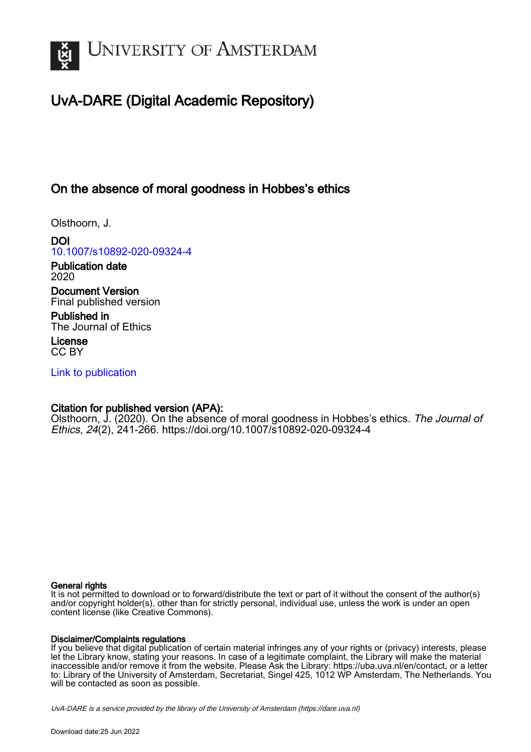

# UvA-DARE (Digital Academic Repository)

# On the absence of moral goodness in Hobbes's ethics

Olsthoorn, J.

DOI [10.1007/s10892-020-09324-4](https://doi.org/10.1007/s10892-020-09324-4)

Publication date 2020

Document Version Final published version

Published in The Journal of Ethics

License CC BY

[Link to publication](https://dare.uva.nl/personal/pure/en/publications/on-the-absence-of-moral-goodness-in-hobbess-ethics(f3ae172d-12c6-4a29-a784-73fc0edb4c00).html)

### Citation for published version (APA):

Olsthoorn, J. (2020). On the absence of moral goodness in Hobbes's ethics. The Journal of Ethics, 24(2), 241-266. <https://doi.org/10.1007/s10892-020-09324-4>

### General rights

It is not permitted to download or to forward/distribute the text or part of it without the consent of the author(s) and/or copyright holder(s), other than for strictly personal, individual use, unless the work is under an open content license (like Creative Commons).

### Disclaimer/Complaints regulations

If you believe that digital publication of certain material infringes any of your rights or (privacy) interests, please let the Library know, stating your reasons. In case of a legitimate complaint, the Library will make the material inaccessible and/or remove it from the website. Please Ask the Library: https://uba.uva.nl/en/contact, or a letter to: Library of the University of Amsterdam, Secretariat, Singel 425, 1012 WP Amsterdam, The Netherlands. You will be contacted as soon as possible.

UvA-DARE is a service provided by the library of the University of Amsterdam (http*s*://dare.uva.nl)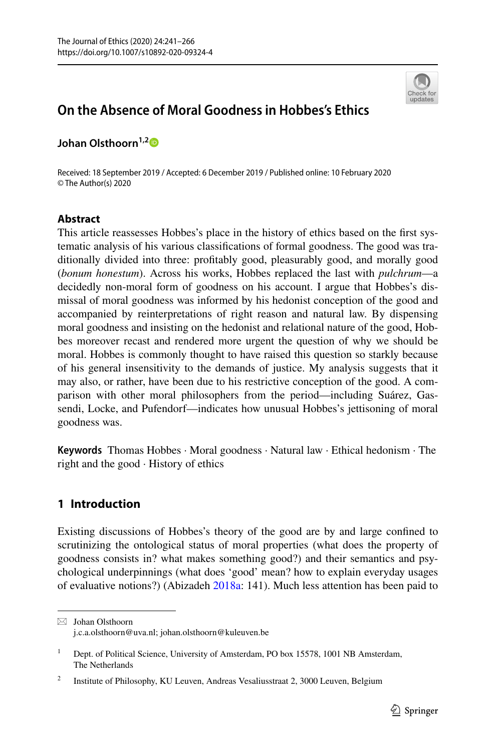

## **On the Absence of Moral Goodness in Hobbes's Ethics**

Johan Olsthoorn<sup>1,[2](http://orcid.org/0000-0002-1314-5087)</sup><sup>D</sup>

Received: 18 September 2019 / Accepted: 6 December 2019 / Published online: 10 February 2020 © The Author(s) 2020

### **Abstract**

This article reassesses Hobbes's place in the history of ethics based on the frst systematic analysis of his various classifcations of formal goodness. The good was traditionally divided into three: proftably good, pleasurably good, and morally good (*bonum honestum*). Across his works, Hobbes replaced the last with *pulchrum*—a decidedly non-moral form of goodness on his account. I argue that Hobbes's dismissal of moral goodness was informed by his hedonist conception of the good and accompanied by reinterpretations of right reason and natural law. By dispensing moral goodness and insisting on the hedonist and relational nature of the good, Hobbes moreover recast and rendered more urgent the question of why we should be moral. Hobbes is commonly thought to have raised this question so starkly because of his general insensitivity to the demands of justice. My analysis suggests that it may also, or rather, have been due to his restrictive conception of the good. A comparison with other moral philosophers from the period—including Suárez, Gassendi, Locke, and Pufendorf—indicates how unusual Hobbes's jettisoning of moral goodness was.

**Keywords** Thomas Hobbes · Moral goodness · Natural law · Ethical hedonism · The right and the good · History of ethics

### **1 Introduction**

Existing discussions of Hobbes's theory of the good are by and large confned to scrutinizing the ontological status of moral properties (what does the property of goodness consists in? what makes something good?) and their semantics and psychological underpinnings (what does 'good' mean? how to explain everyday usages of evaluative notions?) (Abizadeh [2018a](#page-23-0): 141). Much less attention has been paid to

 $\boxtimes$  Johan Olsthoorn j.c.a.olsthoorn@uva.nl; johan.olsthoorn@kuleuven.be

<sup>&</sup>lt;sup>1</sup> Dept. of Political Science, University of Amsterdam, PO box 15578, 1001 NB Amsterdam, The Netherlands

<sup>2</sup> Institute of Philosophy, KU Leuven, Andreas Vesaliusstraat 2, 3000 Leuven, Belgium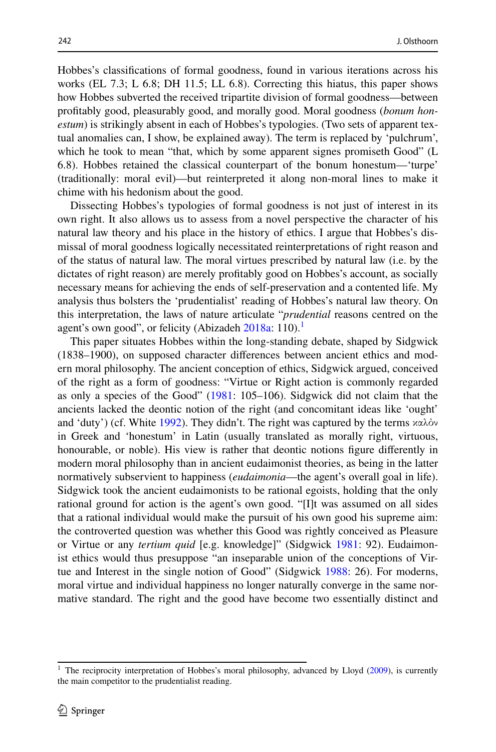Hobbes's classifcations of formal goodness, found in various iterations across his works (EL 7.3; L 6.8; DH 11.5; LL 6.8). Correcting this hiatus, this paper shows how Hobbes subverted the received tripartite division of formal goodness—between proftably good, pleasurably good, and morally good. Moral goodness (*bonum honestum*) is strikingly absent in each of Hobbes's typologies. (Two sets of apparent textual anomalies can, I show, be explained away). The term is replaced by 'pulchrum', which he took to mean "that, which by some apparent signes promiseth Good" (L 6.8). Hobbes retained the classical counterpart of the bonum honestum—'turpe' (traditionally: moral evil)—but reinterpreted it along non-moral lines to make it chime with his hedonism about the good.

Dissecting Hobbes's typologies of formal goodness is not just of interest in its own right. It also allows us to assess from a novel perspective the character of his natural law theory and his place in the history of ethics. I argue that Hobbes's dismissal of moral goodness logically necessitated reinterpretations of right reason and of the status of natural law. The moral virtues prescribed by natural law (i.e. by the dictates of right reason) are merely proftably good on Hobbes's account, as socially necessary means for achieving the ends of self-preservation and a contented life. My analysis thus bolsters the 'prudentialist' reading of Hobbes's natural law theory. On this interpretation, the laws of nature articulate "*prudential* reasons centred on the agent's own good", or felicity (Abizadeh  $2018a: 110$  $2018a: 110$ ).<sup>1</sup>

This paper situates Hobbes within the long-standing debate, shaped by Sidgwick (1838–1900), on supposed character diferences between ancient ethics and modern moral philosophy. The ancient conception of ethics, Sidgwick argued, conceived of the right as a form of goodness: "Virtue or Right action is commonly regarded as only a species of the Good" [\(1981](#page-25-0): 105–106). Sidgwick did not claim that the ancients lacked the deontic notion of the right (and concomitant ideas like 'ought' and 'duty') (cf. White [1992\)](#page-26-0). They didn't. The right was captured by the terms  $x\alpha\lambda\dot{\alpha}y$ in Greek and 'honestum' in Latin (usually translated as morally right, virtuous, honourable, or noble). His view is rather that deontic notions fgure diferently in modern moral philosophy than in ancient eudaimonist theories, as being in the latter normatively subservient to happiness (*eudaimonia*—the agent's overall goal in life). Sidgwick took the ancient eudaimonists to be rational egoists, holding that the only rational ground for action is the agent's own good. "[I]t was assumed on all sides that a rational individual would make the pursuit of his own good his supreme aim: the controverted question was whether this Good was rightly conceived as Pleasure or Virtue or any *tertium quid* [e.g. knowledge]" (Sidgwick [1981:](#page-25-0) 92). Eudaimonist ethics would thus presuppose "an inseparable union of the conceptions of Virtue and Interest in the single notion of Good" (Sidgwick [1988](#page-25-1): 26). For moderns, moral virtue and individual happiness no longer naturally converge in the same normative standard. The right and the good have become two essentially distinct and

<span id="page-2-0"></span><sup>&</sup>lt;sup>1</sup> The reciprocity interpretation of Hobbes's moral philosophy, advanced by Lloyd ([2009\)](#page-25-2), is currently the main competitor to the prudentialist reading.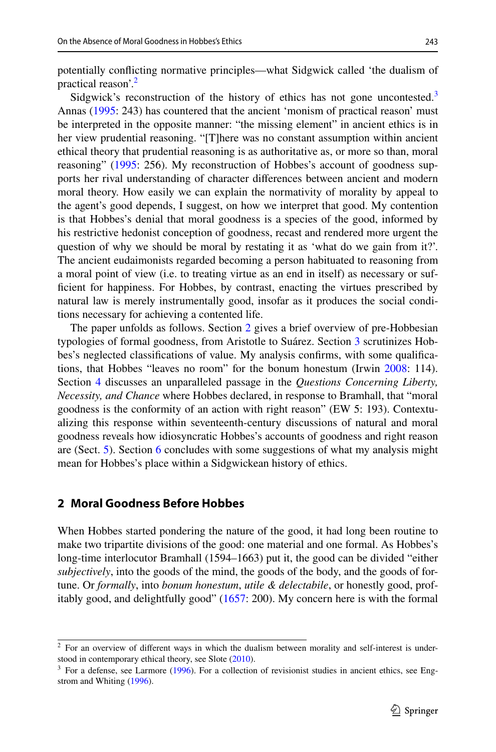potentially conficting normative principles—what Sidgwick called 'the dualism of practical reason'.[2](#page-3-0)

Sidgwick's reconstruction of the history of ethics has not gone uncontested.<sup>[3](#page-3-1)</sup> Annas ([1995:](#page-23-1) 243) has countered that the ancient 'monism of practical reason' must be interpreted in the opposite manner: "the missing element" in ancient ethics is in her view prudential reasoning. "[T]here was no constant assumption within ancient ethical theory that prudential reasoning is as authoritative as, or more so than, moral reasoning" [\(1995](#page-23-1): 256). My reconstruction of Hobbes's account of goodness supports her rival understanding of character diferences between ancient and modern moral theory. How easily we can explain the normativity of morality by appeal to the agent's good depends, I suggest, on how we interpret that good. My contention is that Hobbes's denial that moral goodness is a species of the good, informed by his restrictive hedonist conception of goodness, recast and rendered more urgent the question of why we should be moral by restating it as 'what do we gain from it?'. The ancient eudaimonists regarded becoming a person habituated to reasoning from a moral point of view (i.e. to treating virtue as an end in itself) as necessary or suffcient for happiness. For Hobbes, by contrast, enacting the virtues prescribed by natural law is merely instrumentally good, insofar as it produces the social conditions necessary for achieving a contented life.

The paper unfolds as follows. Section [2](#page-3-2) gives a brief overview of pre-Hobbesian typologies of formal goodness, from Aristotle to Suárez. Section [3](#page-5-0) scrutinizes Hobbes's neglected classifcations of value. My analysis confrms, with some qualifcations, that Hobbes "leaves no room" for the bonum honestum (Irwin [2008:](#page-25-3) 114). Section [4](#page-11-0) discusses an unparalleled passage in the *Questions Concerning Liberty, Necessity, and Chance* where Hobbes declared, in response to Bramhall, that "moral goodness is the conformity of an action with right reason" (EW 5: 193). Contextualizing this response within seventeenth-century discussions of natural and moral goodness reveals how idiosyncratic Hobbes's accounts of goodness and right reason are (Sect. [5\)](#page-14-0). Section [6](#page-19-0) concludes with some suggestions of what my analysis might mean for Hobbes's place within a Sidgwickean history of ethics.

#### <span id="page-3-2"></span>**2 Moral Goodness Before Hobbes**

When Hobbes started pondering the nature of the good, it had long been routine to make two tripartite divisions of the good: one material and one formal. As Hobbes's long-time interlocutor Bramhall (1594–1663) put it, the good can be divided "either *subjectively*, into the goods of the mind, the goods of the body, and the goods of fortune. Or *formally*, into *bonum honestum*, *utile & delectabile*, or honestly good, profitably good, and delightfully good" ([1657:](#page-23-2) 200). My concern here is with the formal

<span id="page-3-0"></span><sup>&</sup>lt;sup>2</sup> For an overview of different ways in which the dualism between morality and self-interest is understood in contemporary ethical theory, see Slote ([2010\)](#page-26-1).

<span id="page-3-1"></span> $3$  For a defense, see Larmore [\(1996](#page-25-4)). For a collection of revisionist studies in ancient ethics, see Engstrom and Whiting ([1996\)](#page-24-0).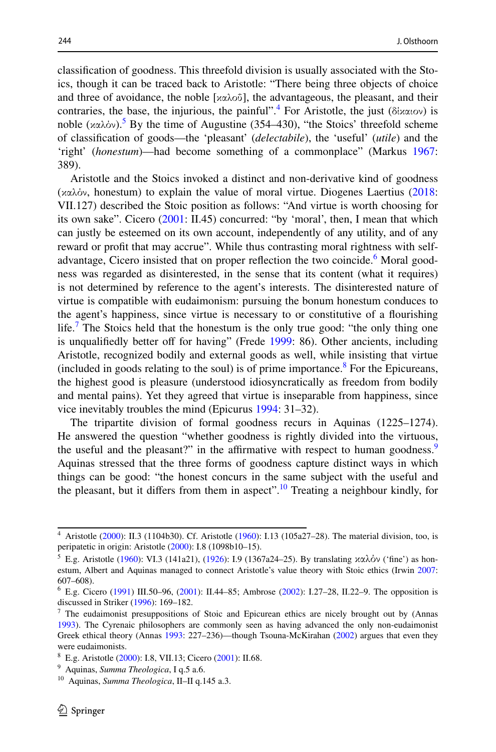classifcation of goodness. This threefold division is usually associated with the Stoics, though it can be traced back to Aristotle: "There being three objects of choice and three of avoidance, the noble [καλοΰ], the advantageous, the pleasant, and their contraries, the base, the injurious, the painful".<sup>[4](#page-4-0)</sup> For Aristotle, the just (δίκαιον) is noble  $(xαλόν)$ . By the time of Augustine (354–430), "the Stoics' threefold scheme of classifcation of goods—the 'pleasant' (*delectabile*), the 'useful' (*utile*) and the 'right' (*honestum*)—had become something of a commonplace" (Markus [1967:](#page-25-5) 389).

Aristotle and the Stoics invoked a distinct and non-derivative kind of goodness (καλόν, honestum) to explain the value of moral virtue. Diogenes Laertius ([2018:](#page-25-6) VII.127) described the Stoic position as follows: "And virtue is worth choosing for its own sake". Cicero ([2001:](#page-23-3) II.45) concurred: "by 'moral', then, I mean that which can justly be esteemed on its own account, independently of any utility, and of any reward or proft that may accrue". While thus contrasting moral rightness with self-advantage, Cicero insisted that on proper reflection the two coincide.<sup>[6](#page-4-2)</sup> Moral goodness was regarded as disinterested, in the sense that its content (what it requires) is not determined by reference to the agent's interests. The disinterested nature of virtue is compatible with eudaimonism: pursuing the bonum honestum conduces to the agent's happiness, since virtue is necessary to or constitutive of a fourishing life.<sup>[7](#page-4-3)</sup> The Stoics held that the honestum is the only true good: "the only thing one is unqualifiedly better off for having" (Frede [1999:](#page-24-1) 86). Other ancients, including Aristotle, recognized bodily and external goods as well, while insisting that virtue (included in goods relating to the soul) is of prime importance.<sup>[8](#page-4-4)</sup> For the Epicureans, the highest good is pleasure (understood idiosyncratically as freedom from bodily and mental pains). Yet they agreed that virtue is inseparable from happiness, since vice inevitably troubles the mind (Epicurus [1994:](#page-24-2) 31–32).

The tripartite division of formal goodness recurs in Aquinas (1225–1274). He answered the question "whether goodness is rightly divided into the virtuous, the useful and the pleasant?" in the affirmative with respect to human goodness.<sup>[9](#page-4-5)</sup> Aquinas stressed that the three forms of goodness capture distinct ways in which things can be good: "the honest concurs in the same subject with the useful and the pleasant, but it differs from them in aspect".<sup>10</sup> Treating a neighbour kindly, for

<span id="page-4-0"></span><sup>4</sup> Aristotle ([2000\)](#page-23-7): II.3 (1104b30). Cf. Aristotle [\(1960](#page-23-8)): I.13 (105a27–28). The material division, too, is peripatetic in origin: Aristotle [\(2000](#page-23-7)): I.8 (1098b10–15).

<span id="page-4-1"></span><sup>&</sup>lt;sup>5</sup> E.g. Aristotle [\(1960](#page-23-8)): VI.3 (141a21), ([1926\)](#page-23-9): I.9 (1367a24-25). By translating καλόν ('fine') as honestum, Albert and Aquinas managed to connect Aristotle's value theory with Stoic ethics (Irwin [2007](#page-24-3): 607–608).

<span id="page-4-2"></span><sup>6</sup> E.g. Cicero [\(1991](#page-23-4)) III.50–96, [\(2001](#page-23-3)): II.44–85; Ambrose ([2002\)](#page-23-5): I.27–28, II.22–9. The opposition is discussed in Striker [\(1996](#page-26-2)): 169–182.

<span id="page-4-3"></span> $<sup>7</sup>$  The eudaimonist presuppositions of Stoic and Epicurean ethics are nicely brought out by (Annas</sup> [1993](#page-23-6)). The Cyrenaic philosophers are commonly seen as having advanced the only non-eudaimonist Greek ethical theory (Annas [1993](#page-23-6): 227–236)—though Tsouna-McKirahan [\(2002](#page-26-3)) argues that even they were eudaimonists.

<span id="page-4-4"></span><sup>8</sup> E.g. Aristotle [\(2000](#page-23-7)): I.8, VII.13; Cicero [\(2001](#page-23-3)): II.68.

<span id="page-4-5"></span><sup>9</sup> Aquinas, *Summa Theologica*, I q.5 a.6.

<span id="page-4-6"></span><sup>10</sup> Aquinas, *Summa Theologica*, II–II q.145 a.3.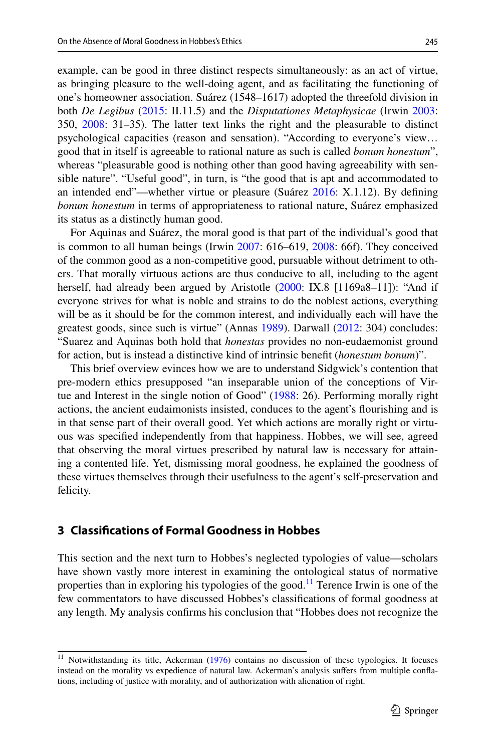example, can be good in three distinct respects simultaneously: as an act of virtue, as bringing pleasure to the well-doing agent, and as facilitating the functioning of one's homeowner association. Suárez (1548–1617) adopted the threefold division in both *De Legibus* ([2015:](#page-26-4) II.11.5) and the *Disputationes Metaphysicae* (Irwin [2003:](#page-24-4) 350, [2008:](#page-25-3) 31–35). The latter text links the right and the pleasurable to distinct psychological capacities (reason and sensation). "According to everyone's view… good that in itself is agreeable to rational nature as such is called *bonum honestum*", whereas "pleasurable good is nothing other than good having agreeability with sensible nature". "Useful good", in turn, is "the good that is apt and accommodated to an intended end"—whether virtue or pleasure (Suárez [2016](#page-26-5): X.1.12). By defning *bonum honestum* in terms of appropriateness to rational nature, Suárez emphasized its status as a distinctly human good.

For Aquinas and Suárez, the moral good is that part of the individual's good that is common to all human beings (Irwin [2007](#page-24-3): 616–619, [2008:](#page-25-3) 66f). They conceived of the common good as a non-competitive good, pursuable without detriment to others. That morally virtuous actions are thus conducive to all, including to the agent herself, had already been argued by Aristotle [\(2000](#page-23-7): IX.8 [1169a8–11]): "And if everyone strives for what is noble and strains to do the noblest actions, everything will be as it should be for the common interest, and individually each will have the greatest goods, since such is virtue" (Annas [1989](#page-23-10)). Darwall ([2012:](#page-24-5) 304) concludes: "Suarez and Aquinas both hold that *honestas* provides no non-eudaemonist ground for action, but is instead a distinctive kind of intrinsic beneft (*honestum bonum*)".

This brief overview evinces how we are to understand Sidgwick's contention that pre-modern ethics presupposed "an inseparable union of the conceptions of Virtue and Interest in the single notion of Good" [\(1988](#page-25-1): 26). Performing morally right actions, the ancient eudaimonists insisted, conduces to the agent's fourishing and is in that sense part of their overall good. Yet which actions are morally right or virtuous was specifed independently from that happiness. Hobbes, we will see, agreed that observing the moral virtues prescribed by natural law is necessary for attaining a contented life. Yet, dismissing moral goodness, he explained the goodness of these virtues themselves through their usefulness to the agent's self-preservation and felicity.

### <span id="page-5-0"></span>**3 Classifcations of Formal Goodness in Hobbes**

This section and the next turn to Hobbes's neglected typologies of value—scholars have shown vastly more interest in examining the ontological status of normative properties than in exploring his typologies of the good.<sup>11</sup> Terence Irwin is one of the few commentators to have discussed Hobbes's classifcations of formal goodness at any length. My analysis confrms his conclusion that "Hobbes does not recognize the

<span id="page-5-1"></span><sup>&</sup>lt;sup>11</sup> Notwithstanding its title, Ackerman ([1976\)](#page-23-11) contains no discussion of these typologies. It focuses instead on the morality vs expedience of natural law. Ackerman's analysis sufers from multiple confations, including of justice with morality, and of authorization with alienation of right.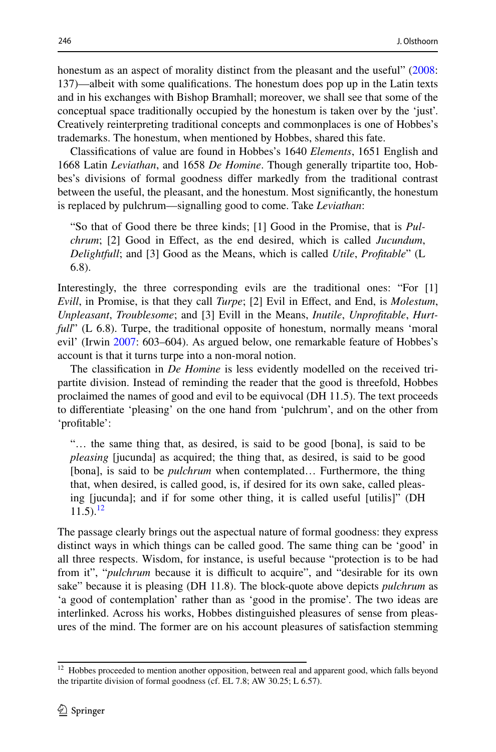honestum as an aspect of morality distinct from the pleasant and the useful" ([2008:](#page-25-3) 137)—albeit with some qualifcations. The honestum does pop up in the Latin texts and in his exchanges with Bishop Bramhall; moreover, we shall see that some of the conceptual space traditionally occupied by the honestum is taken over by the 'just'. Creatively reinterpreting traditional concepts and commonplaces is one of Hobbes's trademarks. The honestum, when mentioned by Hobbes, shared this fate.

Classifcations of value are found in Hobbes's 1640 *Elements*, 1651 English and 1668 Latin *Leviathan*, and 1658 *De Homine*. Though generally tripartite too, Hobbes's divisions of formal goodness difer markedly from the traditional contrast between the useful, the pleasant, and the honestum. Most signifcantly, the honestum is replaced by pulchrum—signalling good to come. Take *Leviathan*:

"So that of Good there be three kinds; [1] Good in the Promise, that is *Pulchrum*; [2] Good in Efect, as the end desired, which is called *Jucundum*, *Delightfull*; and [3] Good as the Means, which is called *Utile*, *Proftable*" (L 6.8).

Interestingly, the three corresponding evils are the traditional ones: "For [1] *Evill*, in Promise, is that they call *Turpe*; [2] Evil in Efect, and End, is *Molestum*, *Unpleasant*, *Troublesome*; and [3] Evill in the Means, *Inutile*, *Unproftable*, *Hurtfull*" (L 6.8). Turpe, the traditional opposite of honestum, normally means 'moral evil' (Irwin [2007:](#page-24-3) 603–604). As argued below, one remarkable feature of Hobbes's account is that it turns turpe into a non-moral notion.

The classifcation in *De Homine* is less evidently modelled on the received tripartite division. Instead of reminding the reader that the good is threefold, Hobbes proclaimed the names of good and evil to be equivocal (DH 11.5). The text proceeds to diferentiate 'pleasing' on the one hand from 'pulchrum', and on the other from 'proftable':

"… the same thing that, as desired, is said to be good [bona], is said to be *pleasing* [jucunda] as acquired; the thing that, as desired, is said to be good [bona], is said to be *pulchrum* when contemplated… Furthermore, the thing that, when desired, is called good, is, if desired for its own sake, called pleasing [jucunda]; and if for some other thing, it is called useful [utilis]" (DH  $11.5$ ).<sup>[12](#page-6-0)</sup>

The passage clearly brings out the aspectual nature of formal goodness: they express distinct ways in which things can be called good. The same thing can be 'good' in all three respects. Wisdom, for instance, is useful because "protection is to be had from it", "*pulchrum* because it is difficult to acquire", and "desirable for its own sake" because it is pleasing (DH 11.8). The block-quote above depicts *pulchrum* as 'a good of contemplation' rather than as 'good in the promise'. The two ideas are interlinked. Across his works, Hobbes distinguished pleasures of sense from pleasures of the mind. The former are on his account pleasures of satisfaction stemming

<span id="page-6-0"></span><sup>&</sup>lt;sup>12</sup> Hobbes proceeded to mention another opposition, between real and apparent good, which falls beyond the tripartite division of formal goodness (cf. EL 7.8; AW 30.25; L 6.57).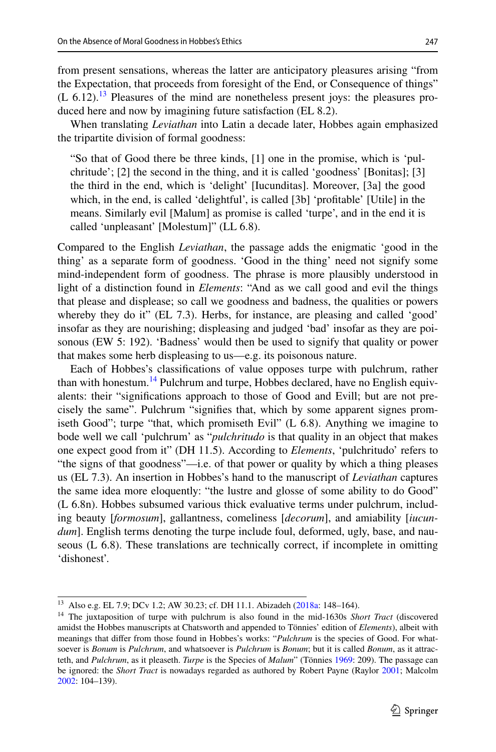from present sensations, whereas the latter are anticipatory pleasures arising "from the Expectation, that proceeds from foresight of the End, or Consequence of things"  $(L 6.12).$ <sup>13</sup> Pleasures of the mind are nonetheless present joys: the pleasures produced here and now by imagining future satisfaction (EL 8.2).

When translating *Leviathan* into Latin a decade later, Hobbes again emphasized the tripartite division of formal goodness:

"So that of Good there be three kinds, [1] one in the promise, which is 'pulchritude'; [2] the second in the thing, and it is called 'goodness' [Bonitas]; [3] the third in the end, which is 'delight' [Iucunditas]. Moreover, [3a] the good which, in the end, is called 'delightful', is called [3b] 'proftable' [Utile] in the means. Similarly evil [Malum] as promise is called 'turpe', and in the end it is called 'unpleasant' [Molestum]" (LL 6.8).

Compared to the English *Leviathan*, the passage adds the enigmatic 'good in the thing' as a separate form of goodness. 'Good in the thing' need not signify some mind-independent form of goodness. The phrase is more plausibly understood in light of a distinction found in *Elements*: "And as we call good and evil the things that please and displease; so call we goodness and badness, the qualities or powers whereby they do it" (EL 7.3). Herbs, for instance, are pleasing and called 'good' insofar as they are nourishing; displeasing and judged 'bad' insofar as they are poisonous (EW 5: 192). 'Badness' would then be used to signify that quality or power that makes some herb displeasing to us—e.g. its poisonous nature.

Each of Hobbes's classifcations of value opposes turpe with pulchrum, rather than with honestum.<sup>[14](#page-7-1)</sup> Pulchrum and turpe, Hobbes declared, have no English equivalents: their "signifcations approach to those of Good and Evill; but are not precisely the same". Pulchrum "signifes that, which by some apparent signes promiseth Good"; turpe "that, which promiseth Evil" (L 6.8). Anything we imagine to bode well we call 'pulchrum' as "*pulchritudo* is that quality in an object that makes one expect good from it" (DH 11.5). According to *Elements*, 'pulchritudo' refers to "the signs of that goodness"—i.e. of that power or quality by which a thing pleases us (EL 7.3). An insertion in Hobbes's hand to the manuscript of *Leviathan* captures the same idea more eloquently: "the lustre and glosse of some ability to do Good" (L 6.8n). Hobbes subsumed various thick evaluative terms under pulchrum, including beauty [*formosum*], gallantness, comeliness [*decorum*], and amiability [*iucundum*]. English terms denoting the turpe include foul, deformed, ugly, base, and nauseous (L 6.8). These translations are technically correct, if incomplete in omitting 'dishonest'.

<span id="page-7-0"></span><sup>13</sup> Also e.g. EL 7.9; DCv 1.2; AW 30.23; cf. DH 11.1. Abizadeh [\(2018a](#page-23-0): 148–164).

<span id="page-7-1"></span><sup>&</sup>lt;sup>14</sup> The juxtaposition of turpe with pulchrum is also found in the mid-1630s Short Tract (discovered amidst the Hobbes manuscripts at Chatsworth and appended to Tönnies' edition of *Elements*), albeit with meanings that difer from those found in Hobbes's works: "*Pulchrum* is the species of Good. For whatsoever is *Bonum* is *Pulchrum*, and whatsoever is *Pulchrum* is *Bonum*; but it is called *Bonum*, as it attracteth, and *Pulchrum*, as it pleaseth. *Turpe* is the Species of *Malum*" (Tönnies [1969:](#page-26-6) 209). The passage can be ignored: the *Short Tract* is nowadays regarded as authored by Robert Payne (Raylor [2001;](#page-25-7) Malcolm [2002](#page-25-8): 104–139).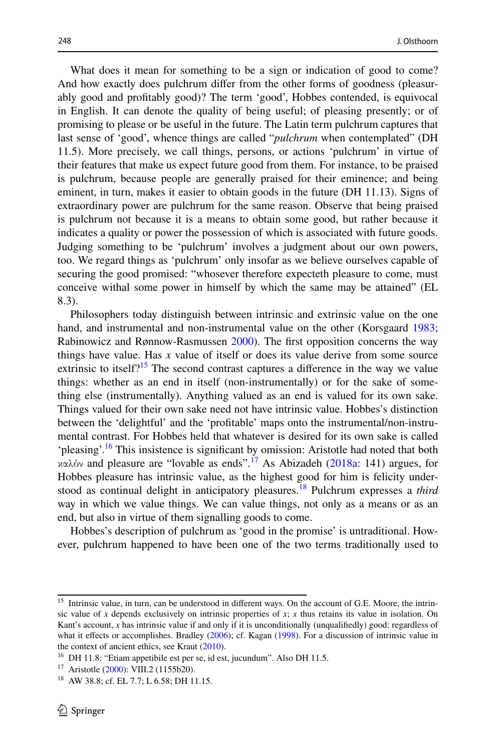What does it mean for something to be a sign or indication of good to come? And how exactly does pulchrum difer from the other forms of goodness (pleasurably good and proftably good)? The term 'good', Hobbes contended, is equivocal in English. It can denote the quality of being useful; of pleasing presently; or of promising to please or be useful in the future. The Latin term pulchrum captures that last sense of 'good', whence things are called "*pulchrum* when contemplated" (DH 11.5). More precisely, we call things, persons, or actions 'pulchrum' in virtue of their features that make us expect future good from them. For instance, to be praised is pulchrum, because people are generally praised for their eminence; and being eminent, in turn, makes it easier to obtain goods in the future (DH 11.13). Signs of extraordinary power are pulchrum for the same reason. Observe that being praised is pulchrum not because it is a means to obtain some good, but rather because it indicates a quality or power the possession of which is associated with future goods. Judging something to be 'pulchrum' involves a judgment about our own powers, too. We regard things as 'pulchrum' only insofar as we believe ourselves capable of securing the good promised: "whosever therefore expecteth pleasure to come, must conceive withal some power in himself by which the same may be attained" (EL 8.3).

Philosophers today distinguish between intrinsic and extrinsic value on the one hand, and instrumental and non-instrumental value on the other (Korsgaard [1983;](#page-25-9) Rabinowicz and Rønnow-Rasmussen [2000\)](#page-25-10). The first opposition concerns the way things have value. Has *x* value of itself or does its value derive from some source extrinsic to itself?<sup>15</sup> The second contrast captures a difference in the way we value things: whether as an end in itself (non-instrumentally) or for the sake of something else (instrumentally). Anything valued as an end is valued for its own sake. Things valued for their own sake need not have intrinsic value. Hobbes's distinction between the 'delightful' and the 'proftable' maps onto the instrumental/non-instrumental contrast. For Hobbes held that whatever is desired for its own sake is called 'pleasing'.[16](#page-8-1) This insistence is signifcant by omission: Aristotle had noted that both καλόν and pleasure are "lovable as ends".<sup>[17](#page-8-2)</sup> As Abizadeh [\(2018a:](#page-23-0) 141) argues, for Hobbes pleasure has intrinsic value, as the highest good for him is felicity understood as continual delight in anticipatory pleasures.[18](#page-8-3) Pulchrum expresses a *third* way in which we value things. We can value things, not only as a means or as an end, but also in virtue of them signalling goods to come.

Hobbes's description of pulchrum as 'good in the promise' is untraditional. However, pulchrum happened to have been one of the two terms traditionally used to

<span id="page-8-0"></span><sup>&</sup>lt;sup>15</sup> Intrinsic value, in turn, can be understood in different ways. On the account of G.E. Moore, the intrinsic value of *x* depends exclusively on intrinsic properties of  $x$ ;  $x$  thus retains its value in isolation. On Kant's account, *x* has intrinsic value if and only if it is unconditionally (unqualifiedly) good: regardless of what it effects or accomplishes. Bradley [\(2006](#page-23-12)); cf. Kagan [\(1998](#page-25-11)). For a discussion of intrinsic value in the context of ancient ethics, see Kraut ([2010\)](#page-25-12).

<span id="page-8-1"></span><sup>&</sup>lt;sup>16</sup> DH 11.8: "Etiam appetibile est per se, id est, jucundum". Also DH 11.5.

<span id="page-8-2"></span><sup>&</sup>lt;sup>17</sup> Aristotle [\(2000](#page-23-7)): VIII.2 (1155b20).

<span id="page-8-3"></span><sup>&</sup>lt;sup>18</sup> AW 38.8; cf. EL 7.7; L 6.58; DH 11.15.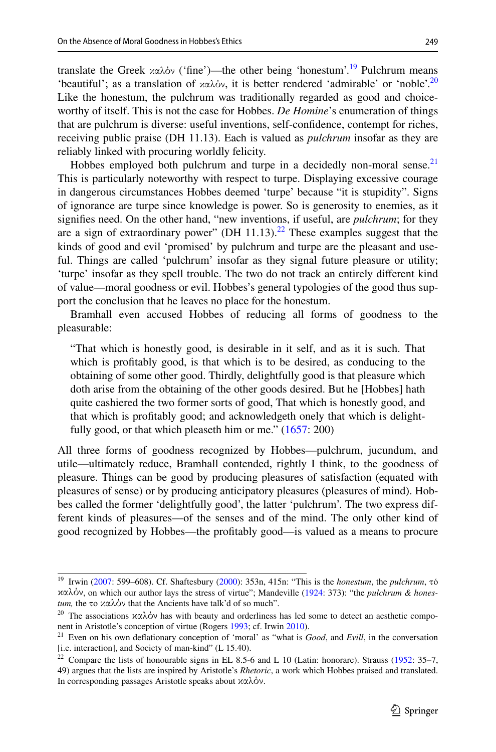reliably linked with procuring worldly felicity.

translate the Greek καλόν ('fine')—the other being 'honestum'.<sup>19</sup> Pulchrum means 'beautiful'; as a translation of  $x\alpha\lambda\dot{\alpha}y$ , it is better rendered 'admirable' or 'noble'.<sup>[20](#page-9-1)</sup> Like the honestum, the pulchrum was traditionally regarded as good and choiceworthy of itself. This is not the case for Hobbes. *De Homine*'s enumeration of things that are pulchrum is diverse: useful inventions, self-confdence, contempt for riches, receiving public praise (DH 11.13). Each is valued as *pulchrum* insofar as they are

Hobbes employed both pulchrum and turpe in a decidedly non-moral sense.<sup>21</sup> This is particularly noteworthy with respect to turpe. Displaying excessive courage in dangerous circumstances Hobbes deemed 'turpe' because "it is stupidity". Signs of ignorance are turpe since knowledge is power. So is generosity to enemies, as it signifes need. On the other hand, "new inventions, if useful, are *pulchrum*; for they are a sign of extraordinary power" (DH  $11.13$ ).<sup>22</sup> These examples suggest that the kinds of good and evil 'promised' by pulchrum and turpe are the pleasant and useful. Things are called 'pulchrum' insofar as they signal future pleasure or utility; 'turpe' insofar as they spell trouble. The two do not track an entirely diferent kind of value—moral goodness or evil. Hobbes's general typologies of the good thus support the conclusion that he leaves no place for the honestum.

Bramhall even accused Hobbes of reducing all forms of goodness to the pleasurable:

"That which is honestly good, is desirable in it self, and as it is such. That which is proftably good, is that which is to be desired, as conducing to the obtaining of some other good. Thirdly, delightfully good is that pleasure which doth arise from the obtaining of the other goods desired. But he [Hobbes] hath quite cashiered the two former sorts of good, That which is honestly good, and that which is proftably good; and acknowledgeth onely that which is delight-fully good, or that which pleaseth him or me." ([1657:](#page-23-2) 200)

All three forms of goodness recognized by Hobbes—pulchrum, jucundum, and utile—ultimately reduce, Bramhall contended, rightly I think, to the goodness of pleasure. Things can be good by producing pleasures of satisfaction (equated with pleasures of sense) or by producing anticipatory pleasures (pleasures of mind). Hobbes called the former 'delightfully good', the latter 'pulchrum'. The two express different kinds of pleasures—of the senses and of the mind. The only other kind of good recognized by Hobbes—the proftably good—is valued as a means to procure

<span id="page-9-0"></span><sup>19</sup> Irwin [\(2007](#page-24-3): 599–608). Cf. Shaftesbury [\(2000](#page-25-13)): 353n, 415n: "This is the *honestum*, the *pulchrum*, τό καλόν, on which our author lays the stress of virtue"; Mandeville [\(1924](#page-25-14): 373): "the *pulchrum & honestum,* the το καλόν that the Ancients have talk'd of so much".

<span id="page-9-1"></span><sup>&</sup>lt;sup>20</sup> The associations  $\chi \alpha \lambda \dot{\phi}$  has with beauty and orderliness has led some to detect an aesthetic component in Aristotle's conception of virtue (Rogers [1993;](#page-25-15) cf. Irwin [2010\)](#page-25-16).

<span id="page-9-2"></span><sup>21</sup> Even on his own defationary conception of 'moral' as "what is *Good*, and *Evill*, in the conversation [i.e. interaction], and Society of man-kind" (L 15.40).

<span id="page-9-3"></span><sup>&</sup>lt;sup>22</sup> Compare the lists of honourable signs in EL 8.5-6 and L 10 (Latin: honorare). Strauss [\(1952](#page-26-7): 35-7, 49) argues that the lists are inspired by Aristotle's *Rhetoric*, a work which Hobbes praised and translated. In corresponding passages Aristotle speaks about καλόν.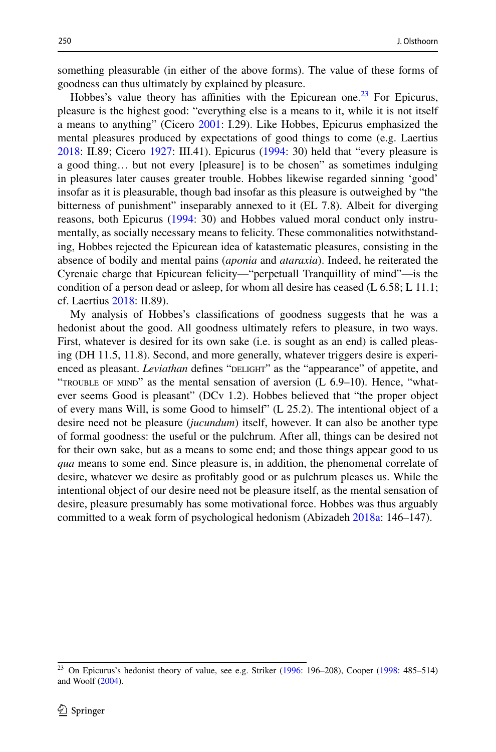something pleasurable (in either of the above forms). The value of these forms of goodness can thus ultimately by explained by pleasure.

Hobbes's value theory has affinities with the Epicurean one.<sup>23</sup> For Epicurus, pleasure is the highest good: "everything else is a means to it, while it is not itself a means to anything" (Cicero [2001:](#page-23-3) I.29). Like Hobbes, Epicurus emphasized the mental pleasures produced by expectations of good things to come (e.g. Laertius [2018](#page-25-6): II.89; Cicero [1927:](#page-23-13) III.41). Epicurus [\(1994](#page-24-2): 30) held that "every pleasure is a good thing… but not every [pleasure] is to be chosen" as sometimes indulging in pleasures later causes greater trouble. Hobbes likewise regarded sinning 'good' insofar as it is pleasurable, though bad insofar as this pleasure is outweighed by "the bitterness of punishment" inseparably annexed to it (EL 7.8). Albeit for diverging reasons, both Epicurus ([1994:](#page-24-2) 30) and Hobbes valued moral conduct only instrumentally, as socially necessary means to felicity. These commonalities notwithstanding, Hobbes rejected the Epicurean idea of katastematic pleasures, consisting in the absence of bodily and mental pains (*aponia* and *ataraxia*). Indeed, he reiterated the Cyrenaic charge that Epicurean felicity—"perpetuall Tranquillity of mind"—is the condition of a person dead or asleep, for whom all desire has ceased (L 6.58; L 11.1; cf. Laertius [2018](#page-25-6): II.89).

My analysis of Hobbes's classifcations of goodness suggests that he was a hedonist about the good. All goodness ultimately refers to pleasure, in two ways. First, whatever is desired for its own sake (i.e. is sought as an end) is called pleasing (DH 11.5, 11.8). Second, and more generally, whatever triggers desire is experienced as pleasant. *Leviathan* defines "DELIGHT" as the "appearance" of appetite, and "TROUBLE OF MIND" as the mental sensation of aversion  $(L 6.9–10)$ . Hence, "whatever seems Good is pleasant" (DCv 1.2). Hobbes believed that "the proper object of every mans Will, is some Good to himself" (L 25.2). The intentional object of a desire need not be pleasure (*jucundum*) itself, however. It can also be another type of formal goodness: the useful or the pulchrum. After all, things can be desired not for their own sake, but as a means to some end; and those things appear good to us *qua* means to some end. Since pleasure is, in addition, the phenomenal correlate of desire, whatever we desire as proftably good or as pulchrum pleases us. While the intentional object of our desire need not be pleasure itself, as the mental sensation of desire, pleasure presumably has some motivational force. Hobbes was thus arguably committed to a weak form of psychological hedonism (Abizadeh [2018a](#page-23-0): 146–147).

<span id="page-10-0"></span><sup>&</sup>lt;sup>23</sup> On Epicurus's hedonist theory of value, see e.g. Striker ([1996:](#page-26-2) 196–208), Cooper [\(1998](#page-24-6): 485–514) and Woolf [\(2004](#page-26-8)).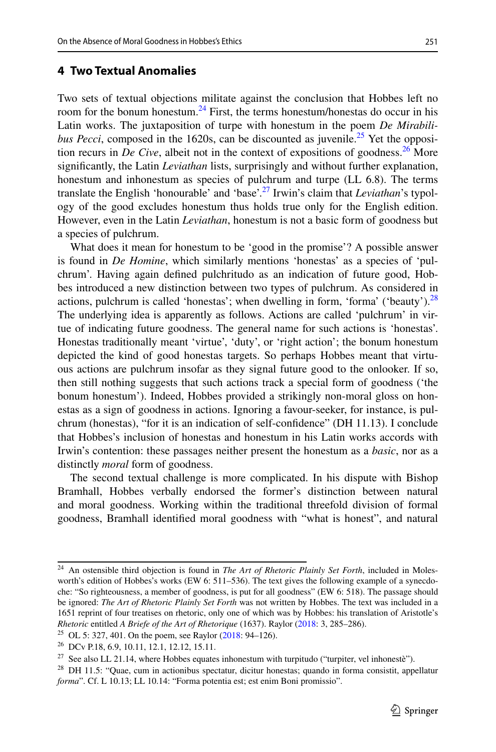### <span id="page-11-0"></span>**4 Two Textual Anomalies**

Two sets of textual objections militate against the conclusion that Hobbes left no room for the bonum honestum.<sup>24</sup> First, the terms honestum/honestas do occur in his Latin works. The juxtaposition of turpe with honestum in the poem *De Mirabilibus Pecci*, composed in the 1620s, can be discounted as juvenile.<sup>25</sup> Yet the opposition recurs in *De Cive*, albeit not in the context of expositions of goodness.<sup>26</sup> More signifcantly, the Latin *Leviathan* lists, surprisingly and without further explanation, honestum and inhonestum as species of pulchrum and turpe (LL 6.8). The terms translate the English 'honourable' and 'base'[.27](#page-11-4) Irwin's claim that *Leviathan*'s typology of the good excludes honestum thus holds true only for the English edition. However, even in the Latin *Leviathan*, honestum is not a basic form of goodness but a species of pulchrum.

What does it mean for honestum to be 'good in the promise'? A possible answer is found in *De Homine*, which similarly mentions 'honestas' as a species of 'pulchrum'. Having again defned pulchritudo as an indication of future good, Hobbes introduced a new distinction between two types of pulchrum. As considered in actions, pulchrum is called 'honestas'; when dwelling in form, 'forma' ('beauty'). $28$ The underlying idea is apparently as follows. Actions are called 'pulchrum' in virtue of indicating future goodness. The general name for such actions is 'honestas'. Honestas traditionally meant 'virtue', 'duty', or 'right action'; the bonum honestum depicted the kind of good honestas targets. So perhaps Hobbes meant that virtuous actions are pulchrum insofar as they signal future good to the onlooker. If so, then still nothing suggests that such actions track a special form of goodness ('the bonum honestum'). Indeed, Hobbes provided a strikingly non-moral gloss on honestas as a sign of goodness in actions. Ignoring a favour-seeker, for instance, is pulchrum (honestas), "for it is an indication of self-confdence" (DH 11.13). I conclude that Hobbes's inclusion of honestas and honestum in his Latin works accords with Irwin's contention: these passages neither present the honestum as a *basic*, nor as a distinctly *moral* form of goodness.

The second textual challenge is more complicated. In his dispute with Bishop Bramhall, Hobbes verbally endorsed the former's distinction between natural and moral goodness. Working within the traditional threefold division of formal goodness, Bramhall identifed moral goodness with "what is honest", and natural

<span id="page-11-1"></span><sup>24</sup> An ostensible third objection is found in *The Art of Rhetoric Plainly Set Forth*, included in Molesworth's edition of Hobbes's works (EW 6: 511–536). The text gives the following example of a synecdoche: "So righteousness, a member of goodness, is put for all goodness" (EW 6: 518). The passage should be ignored: *The Art of Rhetoric Plainly Set Forth* was not written by Hobbes. The text was included in a 1651 reprint of four treatises on rhetoric, only one of which was by Hobbes: his translation of Aristotle's *Rhetoric* entitled *A Briefe of the Art of Rhetorique* (1637). Raylor [\(2018](#page-25-17): 3, 285–286).

<span id="page-11-2"></span><sup>&</sup>lt;sup>25</sup> OL 5: 327, 401. On the poem, see Raylor  $(2018: 94-126)$  $(2018: 94-126)$ .

<span id="page-11-3"></span><sup>26</sup> DCv P.18, 6.9, 10.11, 12.1, 12.12, 15.11.

<span id="page-11-4"></span> $27$  See also LL 21.14, where Hobbes equates inhonestum with turpitudo ("turpiter, vel inhonestè").

<span id="page-11-5"></span><sup>&</sup>lt;sup>28</sup> DH 11.5: "Quae, cum in actionibus spectatur, dicitur honestas; quando in forma consistit, appellatur *forma*". Cf. L 10.13; LL 10.14: "Forma potentia est; est enim Boni promissio".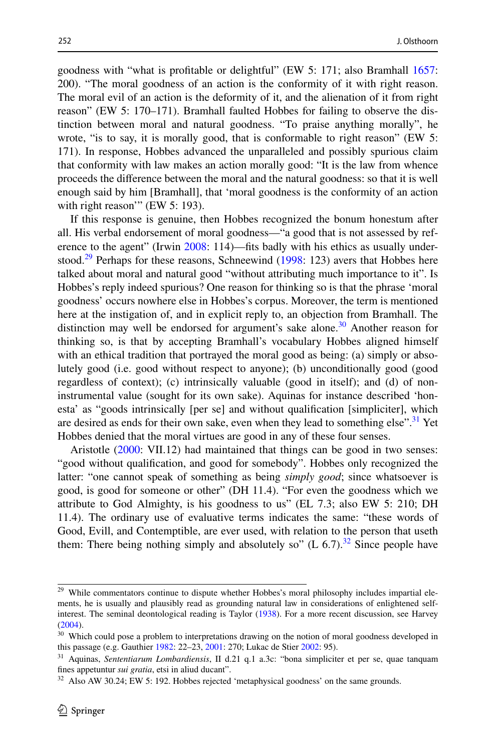goodness with "what is proftable or delightful" (EW 5: 171; also Bramhall [1657:](#page-23-2) 200). "The moral goodness of an action is the conformity of it with right reason. The moral evil of an action is the deformity of it, and the alienation of it from right reason" (EW 5: 170–171). Bramhall faulted Hobbes for failing to observe the distinction between moral and natural goodness. "To praise anything morally", he wrote, "is to say, it is morally good, that is conformable to right reason" (EW 5: 171). In response, Hobbes advanced the unparalleled and possibly spurious claim that conformity with law makes an action morally good: "It is the law from whence proceeds the diference between the moral and the natural goodness: so that it is well enough said by him [Bramhall], that 'moral goodness is the conformity of an action with right reason" (EW 5: 193).

If this response is genuine, then Hobbes recognized the bonum honestum after all. His verbal endorsement of moral goodness—"a good that is not assessed by ref-erence to the agent" (Irwin [2008](#page-25-3): 114)—fits badly with his ethics as usually under-stood.<sup>29</sup> Perhaps for these reasons, Schneewind [\(1998](#page-25-18): 123) avers that Hobbes here talked about moral and natural good "without attributing much importance to it". Is Hobbes's reply indeed spurious? One reason for thinking so is that the phrase 'moral goodness' occurs nowhere else in Hobbes's corpus. Moreover, the term is mentioned here at the instigation of, and in explicit reply to, an objection from Bramhall. The distinction may well be endorsed for argument's sake alone.<sup>30</sup> Another reason for thinking so, is that by accepting Bramhall's vocabulary Hobbes aligned himself with an ethical tradition that portrayed the moral good as being: (a) simply or absolutely good (i.e. good without respect to anyone); (b) unconditionally good (good regardless of context); (c) intrinsically valuable (good in itself); and (d) of noninstrumental value (sought for its own sake). Aquinas for instance described 'honesta' as "goods intrinsically [per se] and without qualifcation [simpliciter], which are desired as ends for their own sake, even when they lead to something else".<sup>31</sup> Yet Hobbes denied that the moral virtues are good in any of these four senses.

Aristotle [\(2000](#page-23-7): VII.12) had maintained that things can be good in two senses: "good without qualifcation, and good for somebody". Hobbes only recognized the latter: "one cannot speak of something as being *simply good*; since whatsoever is good, is good for someone or other" (DH 11.4). "For even the goodness which we attribute to God Almighty, is his goodness to us" (EL 7.3; also EW 5: 210; DH 11.4). The ordinary use of evaluative terms indicates the same: "these words of Good, Evill, and Contemptible, are ever used, with relation to the person that useth them: There being nothing simply and absolutely so"  $(L 6.7).^{32}$  Since people have

<span id="page-12-0"></span><sup>&</sup>lt;sup>29</sup> While commentators continue to dispute whether Hobbes's moral philosophy includes impartial elements, he is usually and plausibly read as grounding natural law in considerations of enlightened selfinterest. The seminal deontological reading is Taylor [\(1938](#page-26-9)). For a more recent discussion, see Harvey ([2004\)](#page-24-7).

<span id="page-12-1"></span><sup>&</sup>lt;sup>30</sup> Which could pose a problem to interpretations drawing on the notion of moral goodness developed in this passage (e.g. Gauthier [1982:](#page-24-8) 22–23, [2001:](#page-24-9) 270; Lukac de Stier [2002:](#page-25-19) 95).

<span id="page-12-2"></span><sup>31</sup> Aquinas, *Sententiarum Lombardiensis*, II d.21 q.1 a.3c: "bona simpliciter et per se, quae tanquam fnes appetuntur *sui gratia*, etsi in aliud ducant".

<span id="page-12-3"></span> $32$  Also AW 30.24; EW 5: 192. Hobbes rejected 'metaphysical goodness' on the same grounds.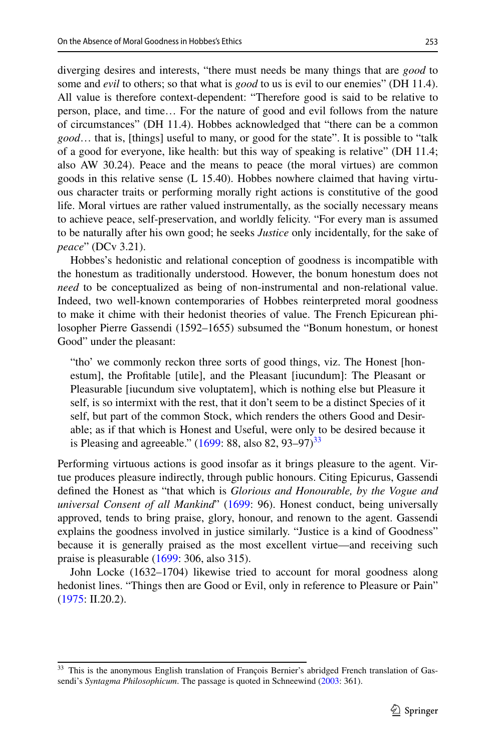diverging desires and interests, "there must needs be many things that are *good* to some and *evil* to others; so that what is *good* to us is evil to our enemies" (DH 11.4). All value is therefore context-dependent: "Therefore good is said to be relative to person, place, and time… For the nature of good and evil follows from the nature of circumstances" (DH 11.4). Hobbes acknowledged that "there can be a common *good*… that is, [things] useful to many, or good for the state". It is possible to "talk of a good for everyone, like health: but this way of speaking is relative" (DH 11.4; also AW 30.24). Peace and the means to peace (the moral virtues) are common goods in this relative sense (L 15.40). Hobbes nowhere claimed that having virtuous character traits or performing morally right actions is constitutive of the good life. Moral virtues are rather valued instrumentally, as the socially necessary means to achieve peace, self-preservation, and worldly felicity. "For every man is assumed to be naturally after his own good; he seeks *Justice* only incidentally, for the sake of *peace*" (DCv 3.21).

Hobbes's hedonistic and relational conception of goodness is incompatible with the honestum as traditionally understood. However, the bonum honestum does not *need* to be conceptualized as being of non-instrumental and non-relational value. Indeed, two well-known contemporaries of Hobbes reinterpreted moral goodness to make it chime with their hedonist theories of value. The French Epicurean philosopher Pierre Gassendi (1592–1655) subsumed the "Bonum honestum, or honest Good" under the pleasant:

"tho' we commonly reckon three sorts of good things, viz. The Honest [honestum], the Proftable [utile], and the Pleasant [iucundum]: The Pleasant or Pleasurable [iucundum sive voluptatem], which is nothing else but Pleasure it self, is so intermixt with the rest, that it don't seem to be a distinct Species of it self, but part of the common Stock, which renders the others Good and Desirable; as if that which is Honest and Useful, were only to be desired because it is Pleasing and agreeable."  $(1699: 88, \text{ also } 82, 93-97)^{33}$  $(1699: 88, \text{ also } 82, 93-97)^{33}$  $(1699: 88, \text{ also } 82, 93-97)^{33}$  $(1699: 88, \text{ also } 82, 93-97)^{33}$  $(1699: 88, \text{ also } 82, 93-97)^{33}$ 

Performing virtuous actions is good insofar as it brings pleasure to the agent. Virtue produces pleasure indirectly, through public honours. Citing Epicurus, Gassendi defned the Honest as "that which is *Glorious and Honourable, by the Vogue and universal Consent of all Mankind*" ([1699:](#page-24-10) 96). Honest conduct, being universally approved, tends to bring praise, glory, honour, and renown to the agent. Gassendi explains the goodness involved in justice similarly. "Justice is a kind of Goodness" because it is generally praised as the most excellent virtue—and receiving such praise is pleasurable  $(1699: 306,$  $(1699: 306,$  $(1699: 306,$  also 315).

John Locke (1632–1704) likewise tried to account for moral goodness along hedonist lines. "Things then are Good or Evil, only in reference to Pleasure or Pain" [\(1975](#page-25-20): II.20.2).

<span id="page-13-0"></span><sup>&</sup>lt;sup>33</sup> This is the anonymous English translation of François Bernier's abridged French translation of Gassendi's *Syntagma Philosophicum*. The passage is quoted in Schneewind ([2003:](#page-25-21) 361).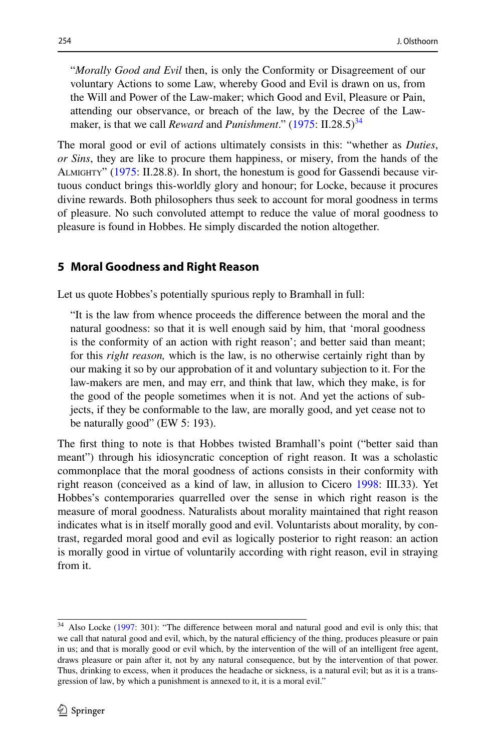"*Morally Good and Evil* then, is only the Conformity or Disagreement of our voluntary Actions to some Law, whereby Good and Evil is drawn on us, from the Will and Power of the Law-maker; which Good and Evil, Pleasure or Pain, attending our observance, or breach of the law, by the Decree of the Lawmaker, is that we call *Reward* and *Punishment*." [\(1975](#page-25-20): II.28.5)<sup>34</sup>

The moral good or evil of actions ultimately consists in this: "whether as *Duties*, *or Sins*, they are like to procure them happiness, or misery, from the hands of the Almighty" [\(1975](#page-25-20): II.28.8). In short, the honestum is good for Gassendi because virtuous conduct brings this-worldly glory and honour; for Locke, because it procures divine rewards. Both philosophers thus seek to account for moral goodness in terms of pleasure. No such convoluted attempt to reduce the value of moral goodness to pleasure is found in Hobbes. He simply discarded the notion altogether.

### <span id="page-14-0"></span>**5 Moral Goodness and Right Reason**

Let us quote Hobbes's potentially spurious reply to Bramhall in full:

"It is the law from whence proceeds the diference between the moral and the natural goodness: so that it is well enough said by him, that 'moral goodness is the conformity of an action with right reason'; and better said than meant; for this *right reason,* which is the law, is no otherwise certainly right than by our making it so by our approbation of it and voluntary subjection to it. For the law-makers are men, and may err, and think that law, which they make, is for the good of the people sometimes when it is not. And yet the actions of subjects, if they be conformable to the law, are morally good, and yet cease not to be naturally good" (EW 5: 193).

The frst thing to note is that Hobbes twisted Bramhall's point ("better said than meant") through his idiosyncratic conception of right reason. It was a scholastic commonplace that the moral goodness of actions consists in their conformity with right reason (conceived as a kind of law, in allusion to Cicero [1998:](#page-23-14) III.33). Yet Hobbes's contemporaries quarrelled over the sense in which right reason is the measure of moral goodness. Naturalists about morality maintained that right reason indicates what is in itself morally good and evil. Voluntarists about morality, by contrast, regarded moral good and evil as logically posterior to right reason: an action is morally good in virtue of voluntarily according with right reason, evil in straying from it.

<span id="page-14-1"></span><sup>34</sup> Also Locke ([1997:](#page-25-22) 301): "The diference between moral and natural good and evil is only this; that we call that natural good and evil, which, by the natural efficiency of the thing, produces pleasure or pain in us; and that is morally good or evil which, by the intervention of the will of an intelligent free agent, draws pleasure or pain after it, not by any natural consequence, but by the intervention of that power. Thus, drinking to excess, when it produces the headache or sickness, is a natural evil; but as it is a transgression of law, by which a punishment is annexed to it, it is a moral evil."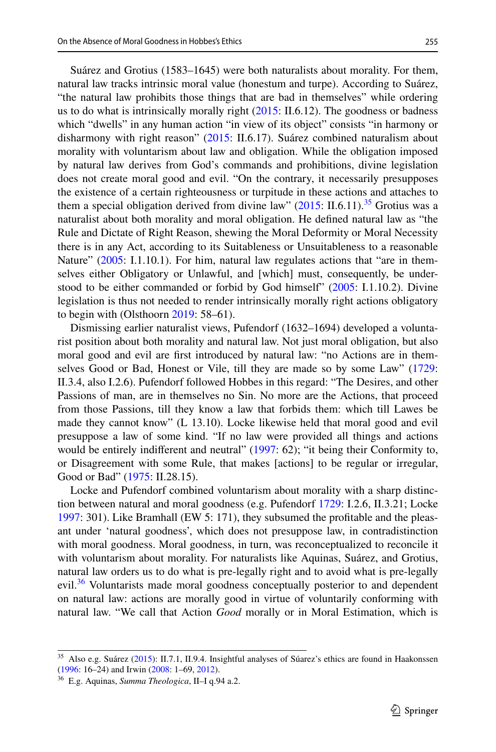Suárez and Grotius (1583–1645) were both naturalists about morality. For them, natural law tracks intrinsic moral value (honestum and turpe). According to Suárez, "the natural law prohibits those things that are bad in themselves" while ordering us to do what is intrinsically morally right  $(2015: II.6.12)$  $(2015: II.6.12)$  $(2015: II.6.12)$ . The goodness or badness which "dwells" in any human action "in view of its object" consists "in harmony or disharmony with right reason" ([2015:](#page-26-4) II.6.17). Suárez combined naturalism about morality with voluntarism about law and obligation. While the obligation imposed by natural law derives from God's commands and prohibitions, divine legislation does not create moral good and evil. "On the contrary, it necessarily presupposes the existence of a certain righteousness or turpitude in these actions and attaches to them a special obligation derived from divine law"  $(2015: II.6.11).^{35}$  $(2015: II.6.11).^{35}$  Grotius was a naturalist about both morality and moral obligation. He defned natural law as "the Rule and Dictate of Right Reason, shewing the Moral Deformity or Moral Necessity there is in any Act, according to its Suitableness or Unsuitableness to a reasonable Nature" [\(2005](#page-24-11): I.1.10.1). For him, natural law regulates actions that "are in themselves either Obligatory or Unlawful, and [which] must, consequently, be understood to be either commanded or forbid by God himself" ([2005:](#page-24-11) I.1.10.2). Divine legislation is thus not needed to render intrinsically morally right actions obligatory to begin with (Olsthoorn  $2019:58-61$ ).

Dismissing earlier naturalist views, Pufendorf (1632–1694) developed a voluntarist position about both morality and natural law. Not just moral obligation, but also moral good and evil are frst introduced by natural law: "no Actions are in themselves Good or Bad, Honest or Vile, till they are made so by some Law" ([1729:](#page-25-24) II.3.4, also I.2.6). Pufendorf followed Hobbes in this regard: "The Desires, and other Passions of man, are in themselves no Sin. No more are the Actions, that proceed from those Passions, till they know a law that forbids them: which till Lawes be made they cannot know" (L 13.10). Locke likewise held that moral good and evil presuppose a law of some kind. "If no law were provided all things and actions would be entirely indifferent and neutral" ([1997:](#page-25-22) 62); "it being their Conformity to, or Disagreement with some Rule, that makes [actions] to be regular or irregular, Good or Bad" ([1975:](#page-25-20) II.28.15).

Locke and Pufendorf combined voluntarism about morality with a sharp distinction between natural and moral goodness (e.g. Pufendorf [1729](#page-25-24): I.2.6, II.3.21; Locke [1997](#page-25-22): 301). Like Bramhall (EW 5: 171), they subsumed the proftable and the pleasant under 'natural goodness', which does not presuppose law, in contradistinction with moral goodness. Moral goodness, in turn, was reconceptualized to reconcile it with voluntarism about morality. For naturalists like Aquinas, Suárez, and Grotius, natural law orders us to do what is pre-legally right and to avoid what is pre-legally evil.<sup>[36](#page-15-1)</sup> Voluntarists made moral goodness conceptually posterior to and dependent on natural law: actions are morally good in virtue of voluntarily conforming with natural law. "We call that Action *Good* morally or in Moral Estimation, which is

<span id="page-15-0"></span><sup>&</sup>lt;sup>35</sup> Also e.g. Suárez ([2015\)](#page-26-4): II.7.1, II.9.4. Insightful analyses of Súarez's ethics are found in Haakonssen ([1996:](#page-24-12) 16–24) and Irwin [\(2008](#page-25-3): 1–69, [2012](#page-25-25)).

<span id="page-15-1"></span><sup>36</sup> E.g. Aquinas, *Summa Theologica*, II–I q.94 a.2.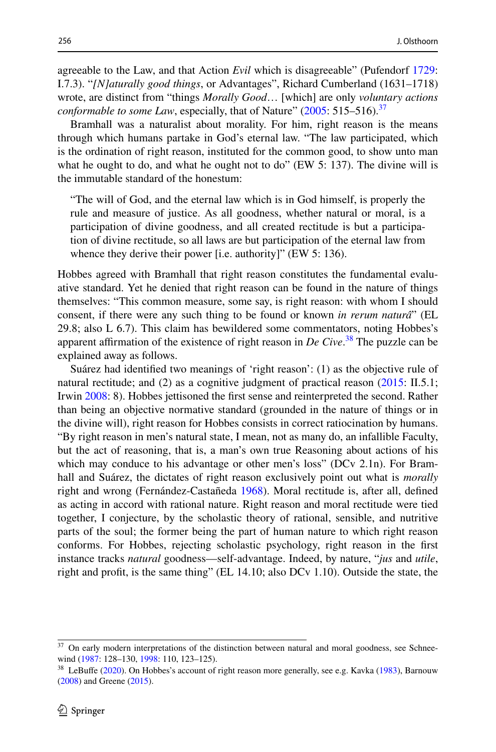agreeable to the Law, and that Action *Evil* which is disagreeable" (Pufendorf [1729:](#page-25-24) I.7.3). "*[N]aturally good things*, or Advantages", Richard Cumberland (1631–1718) wrote, are distinct from "things *Morally Good*… [which] are only *voluntary actions conformable to some Law*, especially, that of Nature"  $(2005: 515-516)^{37}$  $(2005: 515-516)^{37}$  $(2005: 515-516)^{37}$  $(2005: 515-516)^{37}$  $(2005: 515-516)^{37}$ 

Bramhall was a naturalist about morality. For him, right reason is the means through which humans partake in God's eternal law. "The law participated, which is the ordination of right reason, instituted for the common good, to show unto man what he ought to do, and what he ought not to do" (EW 5: 137). The divine will is the immutable standard of the honestum:

"The will of God, and the eternal law which is in God himself, is properly the rule and measure of justice. As all goodness, whether natural or moral, is a participation of divine goodness, and all created rectitude is but a participation of divine rectitude, so all laws are but participation of the eternal law from whence they derive their power [i.e. authority]" (EW 5: 136).

Hobbes agreed with Bramhall that right reason constitutes the fundamental evaluative standard. Yet he denied that right reason can be found in the nature of things themselves: "This common measure, some say, is right reason: with whom I should consent, if there were any such thing to be found or known *in rerum naturâ*" (EL 29.8; also L 6.7). This claim has bewildered some commentators, noting Hobbes's apparent affirmation of the existence of right reason in *De Cive*.<sup>[38](#page-16-1)</sup> The puzzle can be explained away as follows.

Suárez had identifed two meanings of 'right reason': (1) as the objective rule of natural rectitude; and (2) as a cognitive judgment of practical reason ([2015:](#page-26-4) II.5.1; Irwin [2008](#page-25-3): 8). Hobbes jettisoned the frst sense and reinterpreted the second. Rather than being an objective normative standard (grounded in the nature of things or in the divine will), right reason for Hobbes consists in correct ratiocination by humans. "By right reason in men's natural state, I mean, not as many do, an infallible Faculty, but the act of reasoning, that is, a man's own true Reasoning about actions of his which may conduce to his advantage or other men's loss" (DCv 2.1n). For Bramhall and Suárez, the dictates of right reason exclusively point out what is *morally* right and wrong (Fernández-Castañeda [1968](#page-24-14)). Moral rectitude is, after all, defned as acting in accord with rational nature. Right reason and moral rectitude were tied together, I conjecture, by the scholastic theory of rational, sensible, and nutritive parts of the soul; the former being the part of human nature to which right reason conforms. For Hobbes, rejecting scholastic psychology, right reason in the frst instance tracks *natural* goodness—self-advantage. Indeed, by nature, "*jus* and *utile*, right and proft, is the same thing" (EL 14.10; also DCv 1.10). Outside the state, the

<span id="page-16-0"></span><sup>&</sup>lt;sup>37</sup> On early modern interpretations of the distinction between natural and moral goodness, see Schnee-wind ([1987:](#page-25-26) 128-130, [1998:](#page-25-18) 110, 123-125).

<span id="page-16-1"></span><sup>&</sup>lt;sup>38</sup> LeBuffe [\(2020](#page-25-27)). On Hobbes's account of right reason more generally, see e.g. Kavka [\(1983](#page-25-28)), Barnouw ([2008\)](#page-23-15) and Greene ([2015\)](#page-24-15).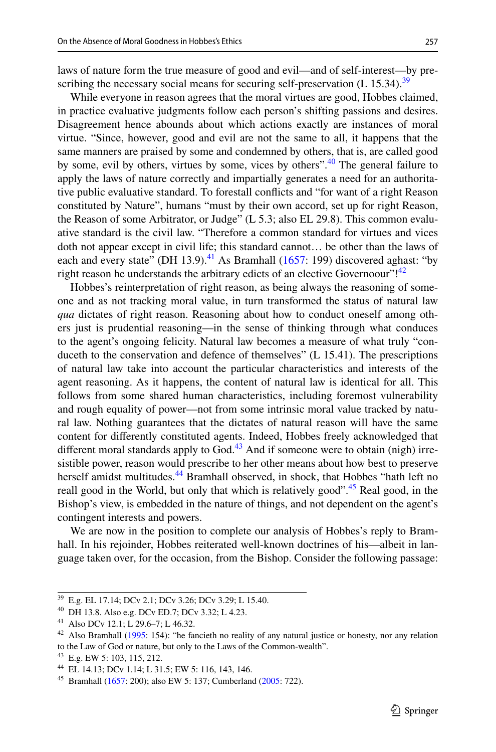laws of nature form the true measure of good and evil—and of self-interest—by prescribing the necessary social means for securing self-preservation  $(L 15.34).$ <sup>[39](#page-17-0)</sup>

While everyone in reason agrees that the moral virtues are good, Hobbes claimed, in practice evaluative judgments follow each person's shifting passions and desires. Disagreement hence abounds about which actions exactly are instances of moral virtue. "Since, however, good and evil are not the same to all, it happens that the same manners are praised by some and condemned by others, that is, are called good by some, evil by others, virtues by some, vices by others".<sup>[40](#page-17-1)</sup> The general failure to apply the laws of nature correctly and impartially generates a need for an authoritative public evaluative standard. To forestall conficts and "for want of a right Reason constituted by Nature", humans "must by their own accord, set up for right Reason, the Reason of some Arbitrator, or Judge" (L 5.3; also EL 29.8). This common evaluative standard is the civil law. "Therefore a common standard for virtues and vices doth not appear except in civil life; this standard cannot… be other than the laws of each and every state" (DH 13.9).<sup>41</sup> As Bramhall ([1657:](#page-23-2) 199) discovered aghast: "by right reason he understands the arbitrary edicts of an elective Governoour"!<sup>[42](#page-17-3)</sup>

Hobbes's reinterpretation of right reason, as being always the reasoning of someone and as not tracking moral value, in turn transformed the status of natural law *qua* dictates of right reason. Reasoning about how to conduct oneself among others just is prudential reasoning—in the sense of thinking through what conduces to the agent's ongoing felicity. Natural law becomes a measure of what truly "conduceth to the conservation and defence of themselves" (L 15.41). The prescriptions of natural law take into account the particular characteristics and interests of the agent reasoning. As it happens, the content of natural law is identical for all. This follows from some shared human characteristics, including foremost vulnerability and rough equality of power—not from some intrinsic moral value tracked by natural law. Nothing guarantees that the dictates of natural reason will have the same content for diferently constituted agents. Indeed, Hobbes freely acknowledged that different moral standards apply to God. $43$  And if someone were to obtain (nigh) irresistible power, reason would prescribe to her other means about how best to preserve herself amidst multitudes.<sup>[44](#page-17-5)</sup> Bramhall observed, in shock, that Hobbes "hath left no reall good in the World, but only that which is relatively good".<sup>45</sup> Real good, in the Bishop's view, is embedded in the nature of things, and not dependent on the agent's contingent interests and powers.

We are now in the position to complete our analysis of Hobbes's reply to Bramhall. In his rejoinder, Hobbes reiterated well-known doctrines of his—albeit in language taken over, for the occasion, from the Bishop. Consider the following passage:

<span id="page-17-0"></span><sup>39</sup> E.g. EL 17.14; DCv 2.1; DCv 3.26; DCv 3.29; L 15.40.

<span id="page-17-1"></span><sup>40</sup> DH 13.8. Also e.g. DCv ED.7; DCv 3.32; L 4.23.

<span id="page-17-2"></span><sup>41</sup> Also DCv 12.1; L 29.6–7; L 46.32.

<span id="page-17-3"></span><sup>&</sup>lt;sup>42</sup> Also Bramhall [\(1995](#page-23-16): 154): "he fancieth no reality of any natural justice or honesty, nor any relation to the Law of God or nature, but only to the Laws of the Common-wealth".

<span id="page-17-4"></span><sup>43</sup> E.g. EW 5: 103, 115, 212.

<span id="page-17-5"></span><sup>44</sup> EL 14.13; DCv 1.14; L 31.5; EW 5: 116, 143, 146.

<span id="page-17-6"></span><sup>45</sup> Bramhall [\(1657](#page-23-2): 200); also EW 5: 137; Cumberland [\(2005](#page-24-13): 722).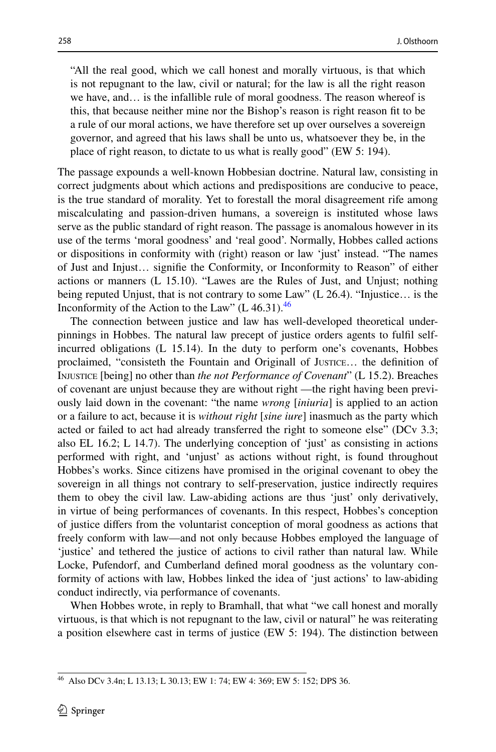"All the real good, which we call honest and morally virtuous, is that which is not repugnant to the law, civil or natural; for the law is all the right reason we have, and… is the infallible rule of moral goodness. The reason whereof is this, that because neither mine nor the Bishop's reason is right reason ft to be a rule of our moral actions, we have therefore set up over ourselves a sovereign governor, and agreed that his laws shall be unto us, whatsoever they be, in the place of right reason, to dictate to us what is really good" (EW 5: 194).

The passage expounds a well-known Hobbesian doctrine. Natural law, consisting in correct judgments about which actions and predispositions are conducive to peace, is the true standard of morality. Yet to forestall the moral disagreement rife among miscalculating and passion-driven humans, a sovereign is instituted whose laws serve as the public standard of right reason. The passage is anomalous however in its use of the terms 'moral goodness' and 'real good'. Normally, Hobbes called actions or dispositions in conformity with (right) reason or law 'just' instead. "The names of Just and Injust… signife the Conformity, or Inconformity to Reason" of either actions or manners (L 15.10). "Lawes are the Rules of Just, and Unjust; nothing being reputed Unjust, that is not contrary to some Law" (L 26.4). "Injustice… is the Inconformity of the Action to the Law" (L [46](#page-18-0).31). $46$ 

The connection between justice and law has well-developed theoretical underpinnings in Hobbes. The natural law precept of justice orders agents to fulfl selfincurred obligations (L 15.14). In the duty to perform one's covenants, Hobbes proclaimed, "consisteth the Fountain and Originall of Justice… the defnition of Injustice [being] no other than *the not Performance of Covenant*" (L 15.2). Breaches of covenant are unjust because they are without right —the right having been previously laid down in the covenant: "the name *wrong* [*iniuria*] is applied to an action or a failure to act, because it is *without right* [*sine iure*] inasmuch as the party which acted or failed to act had already transferred the right to someone else" (DCv 3.3; also EL 16.2; L 14.7). The underlying conception of 'just' as consisting in actions performed with right, and 'unjust' as actions without right, is found throughout Hobbes's works. Since citizens have promised in the original covenant to obey the sovereign in all things not contrary to self-preservation, justice indirectly requires them to obey the civil law. Law-abiding actions are thus 'just' only derivatively, in virtue of being performances of covenants. In this respect, Hobbes's conception of justice difers from the voluntarist conception of moral goodness as actions that freely conform with law—and not only because Hobbes employed the language of 'justice' and tethered the justice of actions to civil rather than natural law. While Locke, Pufendorf, and Cumberland defned moral goodness as the voluntary conformity of actions with law, Hobbes linked the idea of 'just actions' to law-abiding conduct indirectly, via performance of covenants.

When Hobbes wrote, in reply to Bramhall, that what "we call honest and morally virtuous, is that which is not repugnant to the law, civil or natural" he was reiterating a position elsewhere cast in terms of justice (EW 5: 194). The distinction between

<span id="page-18-0"></span><sup>46</sup> Also DCv 3.4n; L 13.13; L 30.13; EW 1: 74; EW 4: 369; EW 5: 152; DPS 36.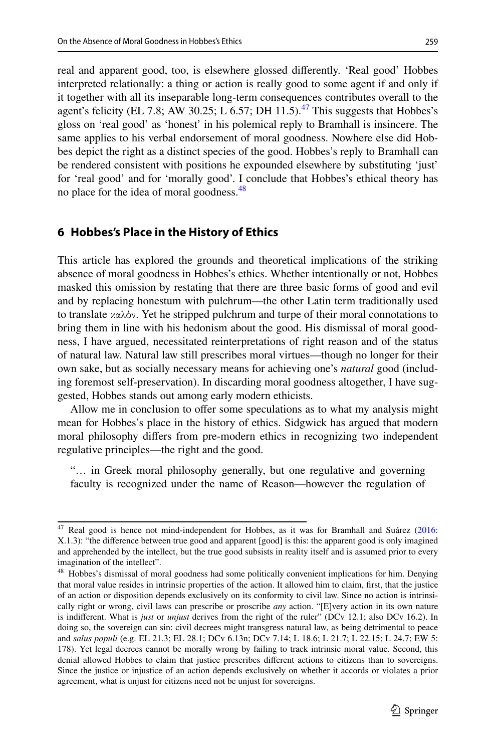real and apparent good, too, is elsewhere glossed diferently. 'Real good' Hobbes interpreted relationally: a thing or action is really good to some agent if and only if it together with all its inseparable long-term consequences contributes overall to the agent's felicity (EL 7.8; AW 30.25; L 6.57; DH 11.5).<sup>[47](#page-19-1)</sup> This suggests that Hobbes's gloss on 'real good' as 'honest' in his polemical reply to Bramhall is insincere. The same applies to his verbal endorsement of moral goodness. Nowhere else did Hobbes depict the right as a distinct species of the good. Hobbes's reply to Bramhall can be rendered consistent with positions he expounded elsewhere by substituting 'just' for 'real good' and for 'morally good'. I conclude that Hobbes's ethical theory has no place for the idea of moral goodness.<sup>48</sup>

#### <span id="page-19-0"></span>**6 Hobbes's Place in the History of Ethics**

This article has explored the grounds and theoretical implications of the striking absence of moral goodness in Hobbes's ethics. Whether intentionally or not, Hobbes masked this omission by restating that there are three basic forms of good and evil and by replacing honestum with pulchrum—the other Latin term traditionally used to translate καλόν. Yet he stripped pulchrum and turpe of their moral connotations to bring them in line with his hedonism about the good. His dismissal of moral goodness, I have argued, necessitated reinterpretations of right reason and of the status of natural law. Natural law still prescribes moral virtues—though no longer for their own sake, but as socially necessary means for achieving one's *natural* good (including foremost self-preservation). In discarding moral goodness altogether, I have suggested, Hobbes stands out among early modern ethicists.

Allow me in conclusion to ofer some speculations as to what my analysis might mean for Hobbes's place in the history of ethics. Sidgwick has argued that modern moral philosophy difers from pre-modern ethics in recognizing two independent regulative principles—the right and the good.

"… in Greek moral philosophy generally, but one regulative and governing faculty is recognized under the name of Reason—however the regulation of

<span id="page-19-1"></span><sup>&</sup>lt;sup>47</sup> Real good is hence not mind-independent for Hobbes, as it was for Bramhall and Suárez [\(2016](#page-26-5): X.1.3): "the diference between true good and apparent [good] is this: the apparent good is only imagined and apprehended by the intellect, but the true good subsists in reality itself and is assumed prior to every imagination of the intellect".

<span id="page-19-2"></span><sup>&</sup>lt;sup>48</sup> Hobbes's dismissal of moral goodness had some politically convenient implications for him. Denying that moral value resides in intrinsic properties of the action. It allowed him to claim, frst, that the justice of an action or disposition depends exclusively on its conformity to civil law. Since no action is intrinsically right or wrong, civil laws can prescribe or proscribe *any* action. "[E]very action in its own nature is indiferent. What is *just* or *unjust* derives from the right of the ruler" (DCv 12.1; also DCv 16.2). In doing so, the sovereign can sin: civil decrees might transgress natural law, as being detrimental to peace and *salus populi* (e.g. EL 21.3; EL 28.1; DCv 6.13n; DCv 7.14; L 18.6; L 21.7; L 22.15; L 24.7; EW 5: 178). Yet legal decrees cannot be morally wrong by failing to track intrinsic moral value. Second, this denial allowed Hobbes to claim that justice prescribes diferent actions to citizens than to sovereigns. Since the justice or injustice of an action depends exclusively on whether it accords or violates a prior agreement, what is unjust for citizens need not be unjust for sovereigns.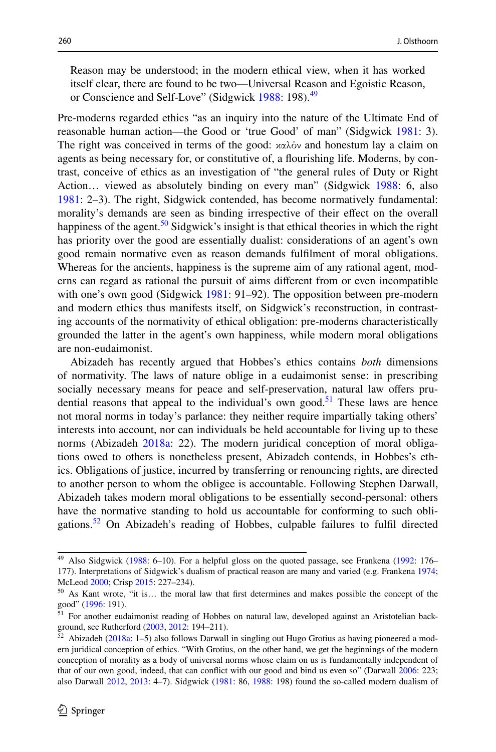Reason may be understood; in the modern ethical view, when it has worked itself clear, there are found to be two—Universal Reason and Egoistic Reason, or Conscience and Self-Love" (Sidgwick [1988:](#page-25-1) 198).<sup>[49](#page-20-0)</sup>

Pre-moderns regarded ethics "as an inquiry into the nature of the Ultimate End of reasonable human action—the Good or 'true Good' of man" (Sidgwick [1981](#page-25-0): 3). The right was conceived in terms of the good:  $x\alpha\lambda\dot{\alpha}$  and honestum lay a claim on agents as being necessary for, or constitutive of, a fourishing life. Moderns, by contrast, conceive of ethics as an investigation of "the general rules of Duty or Right Action… viewed as absolutely binding on every man" (Sidgwick [1988:](#page-25-1) 6, also [1981](#page-25-0): 2–3). The right, Sidgwick contended, has become normatively fundamental: morality's demands are seen as binding irrespective of their efect on the overall happiness of the agent.<sup>[50](#page-20-1)</sup> Sidgwick's insight is that ethical theories in which the right has priority over the good are essentially dualist: considerations of an agent's own good remain normative even as reason demands fulflment of moral obligations. Whereas for the ancients, happiness is the supreme aim of any rational agent, moderns can regard as rational the pursuit of aims diferent from or even incompatible with one's own good (Sidgwick [1981](#page-25-0): 91–92). The opposition between pre-modern and modern ethics thus manifests itself, on Sidgwick's reconstruction, in contrasting accounts of the normativity of ethical obligation: pre-moderns characteristically grounded the latter in the agent's own happiness, while modern moral obligations are non-eudaimonist.

Abizadeh has recently argued that Hobbes's ethics contains *both* dimensions of normativity. The laws of nature oblige in a eudaimonist sense: in prescribing socially necessary means for peace and self-preservation, natural law offers prudential reasons that appeal to the individual's own good.<sup>51</sup> These laws are hence not moral norms in today's parlance: they neither require impartially taking others' interests into account, nor can individuals be held accountable for living up to these norms (Abizadeh [2018a:](#page-23-0) 22). The modern juridical conception of moral obligations owed to others is nonetheless present, Abizadeh contends, in Hobbes's ethics. Obligations of justice, incurred by transferring or renouncing rights, are directed to another person to whom the obligee is accountable. Following Stephen Darwall, Abizadeh takes modern moral obligations to be essentially second-personal: others have the normative standing to hold us accountable for conforming to such obligations.<sup>52</sup> On Abizadeh's reading of Hobbes, culpable failures to fulfil directed

<span id="page-20-0"></span><sup>&</sup>lt;sup>49</sup> Also Sidgwick [\(1988](#page-25-1): 6-10). For a helpful gloss on the quoted passage, see Frankena [\(1992](#page-24-16): 176-177). Interpretations of Sidgwick's dualism of practical reason are many and varied (e.g. Frankena [1974](#page-24-17); McLeod [2000](#page-25-29); Crisp [2015:](#page-24-18) 227–234).

<span id="page-20-1"></span><sup>50</sup> As Kant wrote, "it is… the moral law that frst determines and makes possible the concept of the good" [\(1996](#page-25-30): 191).

<span id="page-20-2"></span><sup>51</sup> For another eudaimonist reading of Hobbes on natural law, developed against an Aristotelian background, see Rutherford ([2003,](#page-25-31) [2012:](#page-25-32) 194–211).

<span id="page-20-3"></span> $52$  Abizadeh ([2018a:](#page-23-0) 1-5) also follows Darwall in singling out Hugo Grotius as having pioneered a modern juridical conception of ethics. "With Grotius, on the other hand, we get the beginnings of the modern conception of morality as a body of universal norms whose claim on us is fundamentally independent of that of our own good, indeed, that can confict with our good and bind us even so" (Darwall [2006](#page-24-19): 223; also Darwall [2012,](#page-24-5) [2013](#page-24-20): 4–7). Sidgwick ([1981:](#page-25-0) 86, [1988:](#page-25-1) 198) found the so-called modern dualism of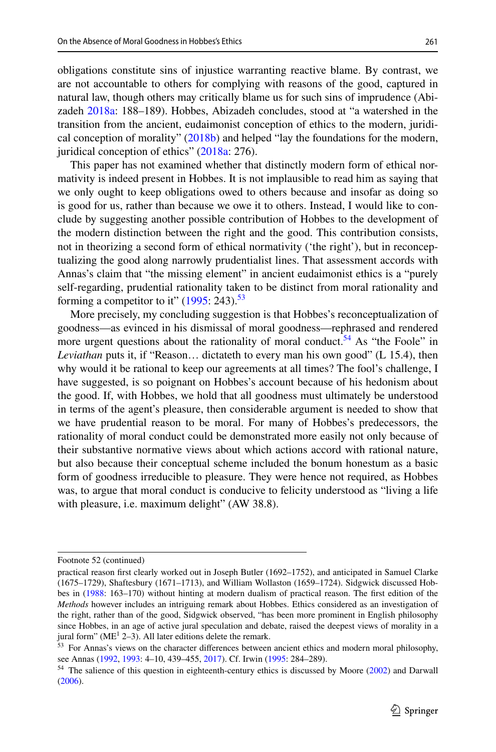obligations constitute sins of injustice warranting reactive blame. By contrast, we are not accountable to others for complying with reasons of the good, captured in natural law, though others may critically blame us for such sins of imprudence (Abizadeh [2018a:](#page-23-0) 188–189). Hobbes, Abizadeh concludes, stood at "a watershed in the transition from the ancient, eudaimonist conception of ethics to the modern, juridical conception of morality" [\(2018b](#page-23-17)) and helped "lay the foundations for the modern, juridical conception of ethics" ([2018a](#page-23-0): 276).

This paper has not examined whether that distinctly modern form of ethical normativity is indeed present in Hobbes. It is not implausible to read him as saying that we only ought to keep obligations owed to others because and insofar as doing so is good for us, rather than because we owe it to others. Instead, I would like to conclude by suggesting another possible contribution of Hobbes to the development of the modern distinction between the right and the good. This contribution consists, not in theorizing a second form of ethical normativity ('the right'), but in reconceptualizing the good along narrowly prudentialist lines. That assessment accords with Annas's claim that "the missing element" in ancient eudaimonist ethics is a "purely self-regarding, prudential rationality taken to be distinct from moral rationality and forming a competitor to it"  $(1995: 243).$  $(1995: 243).$ <sup>53</sup>

More precisely, my concluding suggestion is that Hobbes's reconceptualization of goodness—as evinced in his dismissal of moral goodness—rephrased and rendered more urgent questions about the rationality of moral conduct.<sup>[54](#page-21-1)</sup> As "the Foole" in *Leviathan* puts it, if "Reason… dictateth to every man his own good" (L 15.4), then why would it be rational to keep our agreements at all times? The fool's challenge, I have suggested, is so poignant on Hobbes's account because of his hedonism about the good. If, with Hobbes, we hold that all goodness must ultimately be understood in terms of the agent's pleasure, then considerable argument is needed to show that we have prudential reason to be moral. For many of Hobbes's predecessors, the rationality of moral conduct could be demonstrated more easily not only because of their substantive normative views about which actions accord with rational nature, but also because their conceptual scheme included the bonum honestum as a basic form of goodness irreducible to pleasure. They were hence not required, as Hobbes was, to argue that moral conduct is conducive to felicity understood as "living a life with pleasure, i.e. maximum delight" (AW 38.8).

Footnote 52 (continued)

practical reason frst clearly worked out in Joseph Butler (1692–1752), and anticipated in Samuel Clarke (1675–1729), Shaftesbury (1671–1713), and William Wollaston (1659–1724). Sidgwick discussed Hobbes in [\(1988](#page-25-1): 163–170) without hinting at modern dualism of practical reason. The frst edition of the *Methods* however includes an intriguing remark about Hobbes. Ethics considered as an investigation of the right, rather than of the good, Sidgwick observed, "has been more prominent in English philosophy since Hobbes, in an age of active jural speculation and debate, raised the deepest views of morality in a jural form" ( $ME<sup>1</sup> 2-3$ ). All later editions delete the remark.

<span id="page-21-0"></span><sup>&</sup>lt;sup>53</sup> For Annas's views on the character differences between ancient ethics and modern moral philosophy, see Annas [\(1992](#page-23-18), [1993](#page-23-6): 4–10, 439–455, [2017\)](#page-23-19). Cf. Irwin [\(1995](#page-24-21): 284–289).

<span id="page-21-1"></span><sup>&</sup>lt;sup>54</sup> The salience of this question in eighteenth-century ethics is discussed by Moore [\(2002](#page-25-33)) and Darwall ([2006\)](#page-24-19).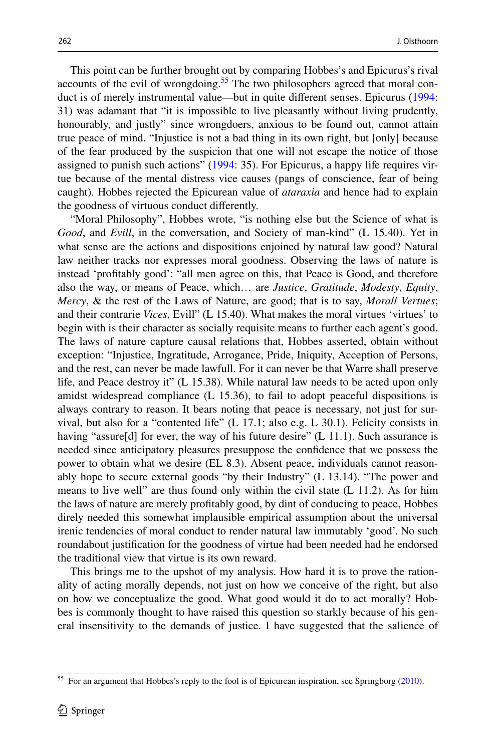This point can be further brought out by comparing Hobbes's and Epicurus's rival accounts of the evil of wrongdoing.<sup>55</sup> The two philosophers agreed that moral conduct is of merely instrumental value—but in quite diferent senses. Epicurus ([1994:](#page-24-2) 31) was adamant that "it is impossible to live pleasantly without living prudently, honourably, and justly" since wrongdoers, anxious to be found out, cannot attain true peace of mind. "Injustice is not a bad thing in its own right, but [only] because of the fear produced by the suspicion that one will not escape the notice of those assigned to punish such actions" ([1994:](#page-24-2) 35). For Epicurus, a happy life requires virtue because of the mental distress vice causes (pangs of conscience, fear of being caught). Hobbes rejected the Epicurean value of *ataraxia* and hence had to explain the goodness of virtuous conduct diferently.

"Moral Philosophy", Hobbes wrote, "is nothing else but the Science of what is *Good*, and *Evill*, in the conversation, and Society of man-kind" (L 15.40). Yet in what sense are the actions and dispositions enjoined by natural law good? Natural law neither tracks nor expresses moral goodness. Observing the laws of nature is instead 'proftably good': "all men agree on this, that Peace is Good, and therefore also the way, or means of Peace, which… are *Justice*, *Gratitude*, *Modesty*, *Equity*, *Mercy*, & the rest of the Laws of Nature, are good; that is to say, *Morall Vertues*; and their contrarie *Vices*, Evill" (L 15.40). What makes the moral virtues 'virtues' to begin with is their character as socially requisite means to further each agent's good. The laws of nature capture causal relations that, Hobbes asserted, obtain without exception: "Injustice, Ingratitude, Arrogance, Pride, Iniquity, Acception of Persons, and the rest, can never be made lawfull. For it can never be that Warre shall preserve life, and Peace destroy it" (L 15.38). While natural law needs to be acted upon only amidst widespread compliance (L 15.36), to fail to adopt peaceful dispositions is always contrary to reason. It bears noting that peace is necessary, not just for survival, but also for a "contented life" (L 17.1; also e.g. L 30.1). Felicity consists in having "assure[d] for ever, the way of his future desire" (L 11.1). Such assurance is needed since anticipatory pleasures presuppose the confdence that we possess the power to obtain what we desire (EL 8.3). Absent peace, individuals cannot reasonably hope to secure external goods "by their Industry" (L 13.14). "The power and means to live well" are thus found only within the civil state (L 11.2). As for him the laws of nature are merely proftably good, by dint of conducing to peace, Hobbes direly needed this somewhat implausible empirical assumption about the universal irenic tendencies of moral conduct to render natural law immutably 'good'. No such roundabout justifcation for the goodness of virtue had been needed had he endorsed the traditional view that virtue is its own reward.

This brings me to the upshot of my analysis. How hard it is to prove the rationality of acting morally depends, not just on how we conceive of the right, but also on how we conceptualize the good. What good would it do to act morally? Hobbes is commonly thought to have raised this question so starkly because of his general insensitivity to the demands of justice. I have suggested that the salience of

<span id="page-22-0"></span><sup>&</sup>lt;sup>55</sup> For an argument that Hobbes's reply to the fool is of Epicurean inspiration, see Springborg [\(2010](#page-26-10)).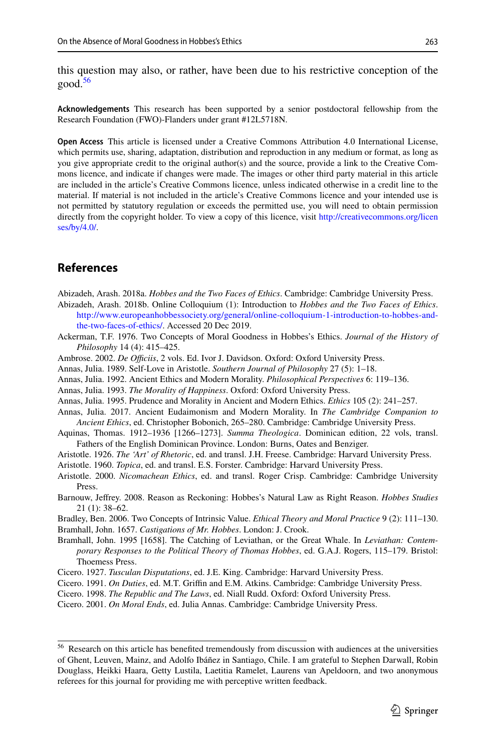this question may also, or rather, have been due to his restrictive conception of the  $good.<sup>56</sup>$  $good.<sup>56</sup>$  $good.<sup>56</sup>$ 

**Acknowledgements** This research has been supported by a senior postdoctoral fellowship from the Research Foundation (FWO)-Flanders under grant #12L5718N.

**Open Access** This article is licensed under a Creative Commons Attribution 4.0 International License, which permits use, sharing, adaptation, distribution and reproduction in any medium or format, as long as you give appropriate credit to the original author(s) and the source, provide a link to the Creative Commons licence, and indicate if changes were made. The images or other third party material in this article are included in the article's Creative Commons licence, unless indicated otherwise in a credit line to the material. If material is not included in the article's Creative Commons licence and your intended use is not permitted by statutory regulation or exceeds the permitted use, you will need to obtain permission directly from the copyright holder. To view a copy of this licence, visit [http://creativecommons.org/licen](http://creativecommons.org/licenses/by/4.0/) [ses/by/4.0/](http://creativecommons.org/licenses/by/4.0/).

### **References**

<span id="page-23-0"></span>Abizadeh, Arash. 2018a. *Hobbes and the Two Faces of Ethics*. Cambridge: Cambridge University Press.

- <span id="page-23-17"></span>Abizadeh, Arash. 2018b. Online Colloquium (1): Introduction to *Hobbes and the Two Faces of Ethics*. [http://www.europeanhobbessociety.org/general/online-colloquium-1-introduction-to-hobbes-and](http://www.europeanhobbessociety.org/general/online-colloquium-1-introduction-to-hobbes-and-the-two-faces-of-ethics/)[the-two-faces-of-ethics/](http://www.europeanhobbessociety.org/general/online-colloquium-1-introduction-to-hobbes-and-the-two-faces-of-ethics/). Accessed 20 Dec 2019.
- <span id="page-23-11"></span>Ackerman, T.F. 1976. Two Concepts of Moral Goodness in Hobbes's Ethics. *Journal of the History of Philosophy* 14 (4): 415–425.
- <span id="page-23-5"></span>Ambrose. 2002. *De Officiis*, 2 vols. Ed. Ivor J. Davidson. Oxford: Oxford University Press.
- <span id="page-23-10"></span>Annas, Julia. 1989. Self-Love in Aristotle. *Southern Journal of Philosophy* 27 (5): 1–18.
- <span id="page-23-18"></span>Annas, Julia. 1992. Ancient Ethics and Modern Morality. *Philosophical Perspectives* 6: 119–136.
- <span id="page-23-6"></span>Annas, Julia. 1993. *The Morality of Happiness*. Oxford: Oxford University Press.
- <span id="page-23-1"></span>Annas, Julia. 1995. Prudence and Morality in Ancient and Modern Ethics. *Ethics* 105 (2): 241–257.
- <span id="page-23-19"></span>Annas, Julia. 2017. Ancient Eudaimonism and Modern Morality. In *The Cambridge Companion to Ancient Ethics*, ed. Christopher Bobonich, 265–280. Cambridge: Cambridge University Press.
- Aquinas, Thomas. 1912–1936 [1266–1273]. *Summa Theologica*. Dominican edition, 22 vols, transl. Fathers of the English Dominican Province. London: Burns, Oates and Benziger.
- <span id="page-23-9"></span>Aristotle. 1926. *The 'Art' of Rhetoric*, ed. and transl. J.H. Freese. Cambridge: Harvard University Press.
- <span id="page-23-8"></span>Aristotle. 1960. *Topica*, ed. and transl. E.S. Forster. Cambridge: Harvard University Press.
- <span id="page-23-7"></span>Aristotle. 2000. *Nicomachean Ethics*, ed. and transl. Roger Crisp. Cambridge: Cambridge University Press.
- <span id="page-23-15"></span>Barnouw, Jefrey. 2008. Reason as Reckoning: Hobbes's Natural Law as Right Reason. *Hobbes Studies* 21 (1): 38–62.

<span id="page-23-12"></span><span id="page-23-2"></span>Bradley, Ben. 2006. Two Concepts of Intrinsic Value. *Ethical Theory and Moral Practice* 9 (2): 111–130. Bramhall, John. 1657. *Castigations of Mr. Hobbes*. London: J. Crook.

- <span id="page-23-16"></span>Bramhall, John. 1995 [1658]. The Catching of Leviathan, or the Great Whale. In *Leviathan: Contemporary Responses to the Political Theory of Thomas Hobbes*, ed. G.A.J. Rogers, 115–179. Bristol: Thoemess Press.
- <span id="page-23-13"></span>Cicero. 1927. *Tusculan Disputations*, ed. J.E. King. Cambridge: Harvard University Press.
- <span id="page-23-4"></span>Cicero. 1991. *On Duties*, ed. M.T. Grifn and E.M. Atkins. Cambridge: Cambridge University Press.
- <span id="page-23-14"></span>Cicero. 1998. *The Republic and The Laws*, ed. Niall Rudd. Oxford: Oxford University Press.
- <span id="page-23-3"></span>Cicero. 2001. *On Moral Ends*, ed. Julia Annas. Cambridge: Cambridge University Press.

<span id="page-23-20"></span><sup>&</sup>lt;sup>56</sup> Research on this article has benefited tremendously from discussion with audiences at the universities of Ghent, Leuven, Mainz, and Adolfo Ibáñez in Santiago, Chile. I am grateful to Stephen Darwall, Robin Douglass, Heikki Haara, Getty Lustila, Laetitia Ramelet, Laurens van Apeldoorn, and two anonymous referees for this journal for providing me with perceptive written feedback.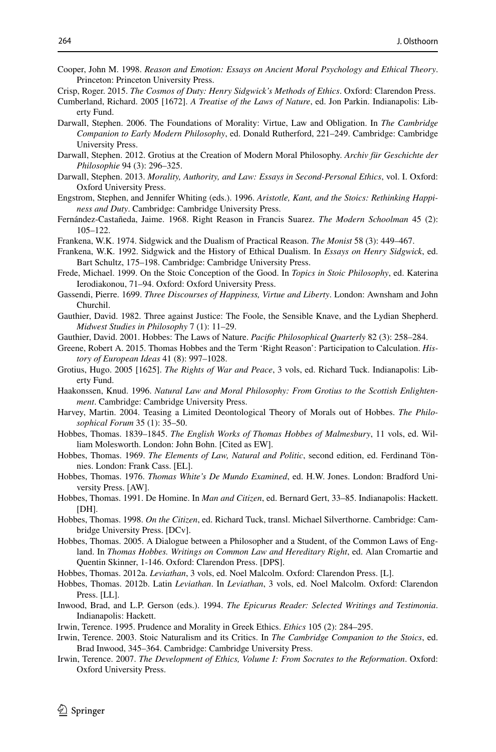<span id="page-24-6"></span>Cooper, John M. 1998. *Reason and Emotion: Essays on Ancient Moral Psychology and Ethical Theory*. Princeton: Princeton University Press.

- <span id="page-24-13"></span>Cumberland, Richard. 2005 [1672]. *A Treatise of the Laws of Nature*, ed. Jon Parkin. Indianapolis: Liberty Fund.
- <span id="page-24-19"></span>Darwall, Stephen. 2006. The Foundations of Morality: Virtue, Law and Obligation. In *The Cambridge Companion to Early Modern Philosophy*, ed. Donald Rutherford, 221–249. Cambridge: Cambridge University Press.
- <span id="page-24-5"></span>Darwall, Stephen. 2012. Grotius at the Creation of Modern Moral Philosophy. *Archiv für Geschichte der Philosophie* 94 (3): 296–325.
- <span id="page-24-20"></span>Darwall, Stephen. 2013. *Morality, Authority, and Law: Essays in Second-Personal Ethics*, vol. I. Oxford: Oxford University Press.
- <span id="page-24-0"></span>Engstrom, Stephen, and Jennifer Whiting (eds.). 1996. *Aristotle, Kant, and the Stoics: Rethinking Happiness and Duty*. Cambridge: Cambridge University Press.
- <span id="page-24-14"></span>Fernández-Castañeda, Jaime. 1968. Right Reason in Francis Suarez. *The Modern Schoolman* 45 (2): 105–122.
- <span id="page-24-17"></span>Frankena, W.K. 1974. Sidgwick and the Dualism of Practical Reason. *The Monist* 58 (3): 449–467.
- <span id="page-24-16"></span>Frankena, W.K. 1992. Sidgwick and the History of Ethical Dualism. In *Essays on Henry Sidgwick*, ed. Bart Schultz, 175–198. Cambridge: Cambridge University Press.
- <span id="page-24-1"></span>Frede, Michael. 1999. On the Stoic Conception of the Good. In *Topics in Stoic Philosophy*, ed. Katerina Ierodiakonou, 71–94. Oxford: Oxford University Press.
- <span id="page-24-10"></span>Gassendi, Pierre. 1699. *Three Discourses of Happiness, Virtue and Liberty*. London: Awnsham and John Churchil.
- <span id="page-24-8"></span>Gauthier, David. 1982. Three against Justice: The Foole, the Sensible Knave, and the Lydian Shepherd. *Midwest Studies in Philosophy* 7 (1): 11–29.
- <span id="page-24-9"></span>Gauthier, David. 2001. Hobbes: The Laws of Nature. *Pacifc Philosophical Quarterly* 82 (3): 258–284.
- <span id="page-24-15"></span>Greene, Robert A. 2015. Thomas Hobbes and the Term 'Right Reason': Participation to Calculation. *History of European Ideas* 41 (8): 997–1028.
- <span id="page-24-11"></span>Grotius, Hugo. 2005 [1625]. *The Rights of War and Peace*, 3 vols, ed. Richard Tuck. Indianapolis: Liberty Fund.
- <span id="page-24-12"></span>Haakonssen, Knud. 1996. *Natural Law and Moral Philosophy: From Grotius to the Scottish Enlightenment*. Cambridge: Cambridge University Press.
- <span id="page-24-7"></span>Harvey, Martin. 2004. Teasing a Limited Deontological Theory of Morals out of Hobbes. *The Philosophical Forum* 35 (1): 35–50.
- Hobbes, Thomas. 1839–1845. *The English Works of Thomas Hobbes of Malmesbury*, 11 vols, ed. William Molesworth. London: John Bohn. [Cited as EW].
- Hobbes, Thomas. 1969. *The Elements of Law, Natural and Politic*, second edition, ed. Ferdinand Tönnies. London: Frank Cass. [EL].
- Hobbes, Thomas. 1976. *Thomas White's De Mundo Examined*, ed. H.W. Jones. London: Bradford University Press. [AW].
- Hobbes, Thomas. 1991. De Homine. In *Man and Citizen*, ed. Bernard Gert, 33–85. Indianapolis: Hackett. [DH].
- Hobbes, Thomas. 1998. *On the Citizen*, ed. Richard Tuck, transl. Michael Silverthorne. Cambridge: Cambridge University Press. [DCv].
- Hobbes, Thomas. 2005. A Dialogue between a Philosopher and a Student, of the Common Laws of England. In *Thomas Hobbes. Writings on Common Law and Hereditary Right*, ed. Alan Cromartie and Quentin Skinner, 1-146. Oxford: Clarendon Press. [DPS].
- Hobbes, Thomas. 2012a. *Leviathan*, 3 vols, ed. Noel Malcolm. Oxford: Clarendon Press. [L].
- Hobbes, Thomas. 2012b. Latin *Leviathan*. In *Leviathan*, 3 vols, ed. Noel Malcolm. Oxford: Clarendon Press. [LL].
- <span id="page-24-2"></span>Inwood, Brad, and L.P. Gerson (eds.). 1994. *The Epicurus Reader: Selected Writings and Testimonia*. Indianapolis: Hackett.
- <span id="page-24-21"></span>Irwin, Terence. 1995. Prudence and Morality in Greek Ethics. *Ethics* 105 (2): 284–295.
- <span id="page-24-4"></span>Irwin, Terence. 2003. Stoic Naturalism and its Critics. In *The Cambridge Companion to the Stoics*, ed. Brad Inwood, 345–364. Cambridge: Cambridge University Press.
- <span id="page-24-3"></span>Irwin, Terence. 2007. *The Development of Ethics, Volume I: From Socrates to the Reformation*. Oxford: Oxford University Press.

<span id="page-24-18"></span>Crisp, Roger. 2015. *The Cosmos of Duty: Henry Sidgwick's Methods of Ethics*. Oxford: Clarendon Press.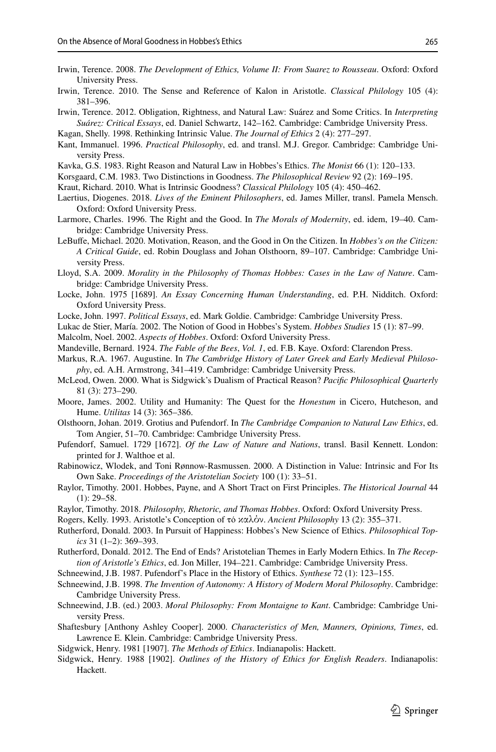- <span id="page-25-3"></span>Irwin, Terence. 2008. *The Development of Ethics, Volume II: From Suarez to Rousseau*. Oxford: Oxford University Press.
- <span id="page-25-16"></span>Irwin, Terence. 2010. The Sense and Reference of Kalon in Aristotle. *Classical Philology* 105 (4): 381–396.

<span id="page-25-25"></span>Irwin, Terence. 2012. Obligation, Rightness, and Natural Law: Suárez and Some Critics. In *Interpreting Suárez: Critical Essays*, ed. Daniel Schwartz, 142–162. Cambridge: Cambridge University Press.

<span id="page-25-11"></span>Kagan, Shelly. 1998. Rethinking Intrinsic Value. *The Journal of Ethics* 2 (4): 277–297.

- <span id="page-25-30"></span>Kant, Immanuel. 1996. *Practical Philosophy*, ed. and transl. M.J. Gregor. Cambridge: Cambridge University Press.
- <span id="page-25-28"></span>Kavka, G.S. 1983. Right Reason and Natural Law in Hobbes's Ethics. *The Monist* 66 (1): 120–133.

<span id="page-25-9"></span>Korsgaard, C.M. 1983. Two Distinctions in Goodness. *The Philosophical Review* 92 (2): 169–195.

- <span id="page-25-12"></span>Kraut, Richard. 2010. What is Intrinsic Goodness? *Classical Philology* 105 (4): 450–462.
- <span id="page-25-6"></span>Laertius, Diogenes. 2018. *Lives of the Eminent Philosophers*, ed. James Miller, transl. Pamela Mensch. Oxford: Oxford University Press.
- <span id="page-25-4"></span>Larmore, Charles. 1996. The Right and the Good. In *The Morals of Modernity*, ed. idem, 19–40. Cambridge: Cambridge University Press.
- <span id="page-25-27"></span>LeBufe, Michael. 2020. Motivation, Reason, and the Good in On the Citizen. In *Hobbes's on the Citizen: A Critical Guide*, ed. Robin Douglass and Johan Olsthoorn, 89–107. Cambridge: Cambridge University Press.
- <span id="page-25-2"></span>Lloyd, S.A. 2009. *Morality in the Philosophy of Thomas Hobbes: Cases in the Law of Nature*. Cambridge: Cambridge University Press.
- <span id="page-25-20"></span>Locke, John. 1975 [1689]. *An Essay Concerning Human Understanding*, ed. P.H. Nidditch. Oxford: Oxford University Press.
- <span id="page-25-22"></span>Locke, John. 1997. *Political Essays*, ed. Mark Goldie. Cambridge: Cambridge University Press.
- <span id="page-25-19"></span>Lukac de Stier, María. 2002. The Notion of Good in Hobbes's System. *Hobbes Studies* 15 (1): 87–99.
- <span id="page-25-8"></span>Malcolm, Noel. 2002. *Aspects of Hobbes*. Oxford: Oxford University Press.
- <span id="page-25-14"></span>Mandeville, Bernard. 1924. *The Fable of the Bees*, *Vol. 1*, ed. F.B. Kaye. Oxford: Clarendon Press.
- <span id="page-25-5"></span>Markus, R.A. 1967. Augustine. In *The Cambridge History of Later Greek and Early Medieval Philosophy*, ed. A.H. Armstrong, 341–419. Cambridge: Cambridge University Press.
- <span id="page-25-29"></span>McLeod, Owen. 2000. What is Sidgwick's Dualism of Practical Reason? *Pacifc Philosophical Quarterly* 81 (3): 273–290.
- <span id="page-25-33"></span>Moore, James. 2002. Utility and Humanity: The Quest for the *Honestum* in Cicero, Hutcheson, and Hume. *Utilitas* 14 (3): 365–386.
- <span id="page-25-23"></span>Olsthoorn, Johan. 2019. Grotius and Pufendorf. In *The Cambridge Companion to Natural Law Ethics*, ed. Tom Angier, 51–70. Cambridge: Cambridge University Press.
- <span id="page-25-24"></span>Pufendorf, Samuel. 1729 [1672]. *Of the Law of Nature and Nations*, transl. Basil Kennett. London: printed for J. Walthoe et al.
- <span id="page-25-10"></span>Rabinowicz, Wlodek, and Toni Rønnow-Rasmussen. 2000. A Distinction in Value: Intrinsic and For Its Own Sake. *Proceedings of the Aristotelian Society* 100 (1): 33–51.
- <span id="page-25-7"></span>Raylor, Timothy. 2001. Hobbes, Payne, and A Short Tract on First Principles. *The Historical Journal* 44  $(1): 29 - 58.$
- <span id="page-25-17"></span>Raylor, Timothy. 2018. *Philosophy, Rhetoric, and Thomas Hobbes*. Oxford: Oxford University Press.
- <span id="page-25-15"></span>Rogers, Kelly. 1993. Aristotle's Conception of τό καλόν. *Ancient Philosophy* 13 (2): 355–371.
- <span id="page-25-31"></span>Rutherford, Donald. 2003. In Pursuit of Happiness: Hobbes's New Science of Ethics. *Philosophical Topics* 31 (1–2): 369–393.
- <span id="page-25-32"></span>Rutherford, Donald. 2012. The End of Ends? Aristotelian Themes in Early Modern Ethics. In *The Reception of Aristotle's Ethics*, ed. Jon Miller, 194–221. Cambridge: Cambridge University Press.
- <span id="page-25-26"></span>Schneewind, J.B. 1987. Pufendorf's Place in the History of Ethics. *Synthese* 72 (1): 123–155.
- <span id="page-25-18"></span>Schneewind, J.B. 1998. *The Invention of Autonomy: A History of Modern Moral Philosophy*. Cambridge: Cambridge University Press.
- <span id="page-25-21"></span>Schneewind, J.B. (ed.) 2003. *Moral Philosophy: From Montaigne to Kant*. Cambridge: Cambridge University Press.
- <span id="page-25-13"></span>Shaftesbury [Anthony Ashley Cooper]. 2000. *Characteristics of Men, Manners, Opinions, Times*, ed. Lawrence E. Klein. Cambridge: Cambridge University Press.
- <span id="page-25-0"></span>Sidgwick, Henry. 1981 [1907]. *The Methods of Ethics*. Indianapolis: Hackett.
- <span id="page-25-1"></span>Sidgwick, Henry. 1988 [1902]. *Outlines of the History of Ethics for English Readers*. Indianapolis: Hackett.